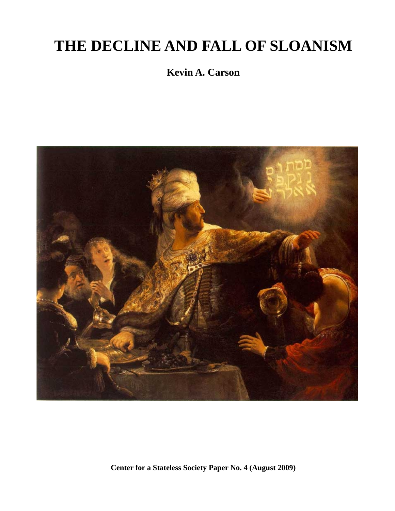# **THE DECLINE AND FALL OF SLOANISM**

# **Kevin A. Carson**



**Center for a Stateless Society Paper No. 4 (August 2009)**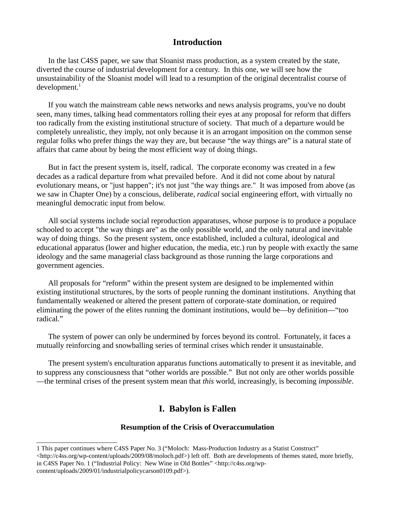### **Introduction**

In the last C4SS paper, we saw that Sloanist mass production, as a system created by the state, diverted the course of industrial development for a century. In this one, we will see how the unsustainability of the Sloanist model will lead to a resumption of the original decentralist course of  $d$ evelopment. $1$ 

If you watch the mainstream cable news networks and news analysis programs, you've no doubt seen, many times, talking head commentators rolling their eyes at any proposal for reform that differs too radically from the existing institutional structure of society. That much of a departure would be completely unrealistic, they imply, not only because it is an arrogant imposition on the common sense regular folks who prefer things the way they are, but because "the way things are" is a natural state of affairs that came about by being the most efficient way of doing things.

But in fact the present system is, itself, radical. The corporate economy was created in a few decades as a radical departure from what prevailed before. And it did not come about by natural evolutionary means, or "just happen"; it's not just "the way things are." It was imposed from above (as we saw in Chapter One) by a conscious, deliberate, *radical* social engineering effort, with virtually no meaningful democratic input from below.

All social systems include social reproduction apparatuses, whose purpose is to produce a populace schooled to accept "the way things are" as the only possible world, and the only natural and inevitable way of doing things. So the present system, once established, included a cultural, ideological and educational apparatus (lower and higher education, the media, etc.) run by people with exactly the same ideology and the same managerial class background as those running the large corporations and government agencies.

All proposals for "reform" within the present system are designed to be implemented within existing institutional structures, by the sorts of people running the dominant institutions. Anything that fundamentally weakened or altered the present pattern of corporate-state domination, or required eliminating the power of the elites running the dominant institutions, would be—by definition—"too radical."

The system of power can only be undermined by forces beyond its control. Fortunately, it faces a mutually reinforcing and snowballing series of terminal crises which render it unsustainable.

The present system's enculturation apparatus functions automatically to present it as inevitable, and to suppress any consciousness that "other worlds are possible." But not only are other worlds possible —the terminal crises of the present system mean that *this* world, increasingly, is becoming *impossible*.

# **I. Babylon is Fallen**

#### **Resumption of the Crisis of Overaccumulation**

<span id="page-2-0"></span><sup>1</sup> This paper continues where C4SS Paper No. 3 ("Moloch: Mass-Production Industry as a Statist Construct" <http://c4ss.org/wp-content/uploads/2009/08/moloch.pdf>) left off. Both are developments of themes stated, more briefly, in C4SS Paper No. 1 ("Industrial Policy: New Wine in Old Bottles" <http://c4ss.org/wpcontent/uploads/2009/01/industrialpolicycarson0109.pdf>).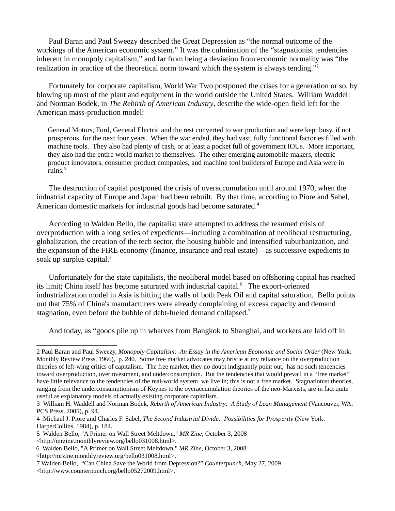Paul Baran and Paul Sweezy described the Great Depression as "the normal outcome of the workings of the American economic system." It was the culmination of the "stagnationist tendencies inherent in monopoly capitalism," and far from being a deviation from economic normality was "the realization in practice of the theoretical norm toward which the system is always tending."<sup>[2](#page-3-0)</sup>

Fortunately for corporate capitalism, World War Two postponed the crises for a generation or so, by blowing up most of the plant and equipment in the world outside the United States. William Waddell and Norman Bodek, in *The Rebirth of American Industry*, describe the wide-open field left for the American mass-production model:

General Motors, Ford, General Electric and the rest converted to war production and were kept busy, if not prosperous, for the next four years. When the war ended, they had vast, fully functional factories filled with machine tools. They also had plenty of cash, or at least a pocket full of government IOUs. More important, they also had the entire world market to themselves. The other emerging automobile makers, electric product innovators, consumer product companies, and machine tool builders of Europe and Asia were in ruins.<sup>[3](#page-3-1)</sup>

The destruction of capital postponed the crisis of overaccumulation until around 1970, when the industrial capacity of Europe and Japan had been rebuilt. By that time, according to Piore and Sabel, American domestic markets for industrial goods had become saturated.<sup>[4](#page-3-2)</sup>

According to Walden Bello, the capitalist state attempted to address the resumed crisis of overproduction with a long series of expedients—including a combination of neoliberal restructuring, globalization, the creation of the tech sector, the housing bubble and intensified suburbanization, and the expansion of the FIRE economy (finance, insurance and real estate)—as successive expedients to soak up surplus capital. $5$ 

Unfortunately for the state capitalists, the neoliberal model based on offshoring capital has reached its limit; China itself has become saturated with industrial capital.<sup>[6](#page-3-4)</sup> The export-oriented industrialization model in Asia is hitting the walls of both Peak Oil and capital saturation. Bello points out that 75% of China's manufacturers were already complaining of excess capacity and demand stagnation, even before the bubble of debt-fueled demand collapsed.<sup>[7](#page-3-5)</sup>

And today, as "goods pile up in wharves from Bangkok to Shanghai, and workers are laid off in

- <span id="page-3-3"></span>5 Walden Bello, "A Primer on Wall Street Meltdown," *MR Zine*, October 3, 2008 <http://mrzine.monthlyreview.org/bello031008.html>.
- <span id="page-3-4"></span>6 Walden Bello, "A Primer on Wall Street Meltdown," *MR Zine*, October 3, 2008 <http://mrzine.monthlyreview.org/bello031008.html>.

<span id="page-3-0"></span><sup>2</sup> Paul Baran and Paul Sweezy, *Monopoly Capitalism: An Essay in the American Economic and Social Order* (New York: Monthly Review Press, 1966), p. 240. Some free market advocates may bristle at my reliance on the overproduction theories of left-wing critics of capitalism. The free market, they no doubt indignantly point out, has no such tencencies toward overproduction, overinvestment, and underconsumption. But the tendencies that would prevail in a "free market" have little relevance to the tendencies of the real-world system we live in; this is not a free market. Stagnationist theories, ranging from the underconsumptionism of Keynes to the overaccumulation theories of the neo-Marxists, are in fact quite useful as explanatory models of actually existing corporate capitalism.

<span id="page-3-1"></span><sup>3</sup> William H. Waddell and Norman Bodek, *Rebirth of American Industry: A Study of Lean Management* (Vancouver, WA: PCS Press, 2005)*,* p. 94.

<span id="page-3-2"></span><sup>4</sup> Michael J. Piore and Charles F. Sabel, *The Second Industrial Divide: Possibilities for Prosperity* (New York: HarperCollins, 1984), p. 184.

<span id="page-3-5"></span><sup>7</sup> Walden Bello, "Can China Save the World from Depression?" *Counterpunch*, May 27, 2009 <http://www.counterpunch.org/bello05272009.html>.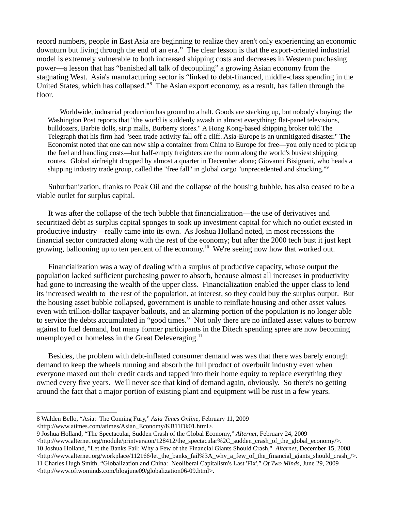record numbers, people in East Asia are beginning to realize they aren't only experiencing an economic downturn but living through the end of an era." The clear lesson is that the export-oriented industrial model is extremely vulnerable to both increased shipping costs and decreases in Western purchasing power—a lesson that has "banished all talk of decoupling" a growing Asian economy from the stagnating West. Asia's manufacturing sector is "linked to debt-financed, middle-class spending in the United States, which has collapsed."<sup>[8](#page-4-0)</sup> The Asian export economy, as a result, has fallen through the floor.

Worldwide, industrial production has ground to a halt. Goods are stacking up, but nobody's buying; the Washington Post reports that "the world is suddenly awash in almost everything: flat-panel televisions, bulldozers, Barbie dolls, strip malls, Burberry stores." A Hong Kong-based shipping broker told The Telegraph that his firm had "seen trade activity fall off a cliff. Asia-Europe is an unmitigated disaster." The Economist noted that one can now ship a container from China to Europe for free—you only need to pick up the fuel and handling costs—but half-empty freighters are the norm along the world's busiest shipping routes. Global airfreight dropped by almost a quarter in December alone; Giovanni Bisignani, who heads a shipping industry trade group, called the "free fall" in global cargo "unprecedented and shocking."<sup>[9](#page-4-1)</sup>

Suburbanization, thanks to Peak Oil and the collapse of the housing bubble, has also ceased to be a viable outlet for surplus capital.

It was after the collapse of the tech bubble that financialization—the use of derivatives and securitized debt as surplus capital sponges to soak up investment capital for which no outlet existed in productive industry—really came into its own. As Joshua Holland noted, in most recessions the financial sector contracted along with the rest of the economy; but after the 2000 tech bust it just kept growing, ballooning up to ten percent of the economy.<sup>[10](#page-4-2)</sup> We're seeing now how that worked out.

Financialization was a way of dealing with a surplus of productive capacity, whose output the population lacked sufficient purchasing power to absorb, because almost all increases in productivity had gone to increasing the wealth of the upper class. Financialization enabled the upper class to lend its increased wealth to the rest of the population, at interest, so they could buy the surplus output. But the housing asset bubble collapsed, government is unable to reinflate housing and other asset values even with trillion-dollar taxpayer bailouts, and an alarming portion of the population is no longer able to service the debts accumulated in "good times." Not only there are no inflated asset values to borrow against to fuel demand, but many former participants in the Ditech spending spree are now becoming unemployed or homeless in the Great Deleveraging. $11$ 

Besides, the problem with debt-inflated consumer demand was was that there was barely enough demand to keep the wheels running and absorb the full product of overbuilt industry even when everyone maxed out their credit cards and tapped into their home equity to replace everything they owned every five years. We'll never see that kind of demand again, obviously. So there's no getting around the fact that a major portion of existing plant and equipment will be rust in a few years.

<span id="page-4-0"></span><sup>8</sup> Walden Bello, "Asia: The Coming Fury," *Asia Times Online*, February 11, 2009

<sup>&</sup>lt;http://www.atimes.com/atimes/Asian\_Economy/KB11Dk01.html>.

<span id="page-4-1"></span><sup>9</sup> Joshua Holland, "The Spectacular, Sudden Crash of the Global Economy," *Alternet*, February 24, 2009

<span id="page-4-3"></span><span id="page-4-2"></span> $\lt$ http://www.alternet.org/module/printversion/128412/the\_spectacular%2C\_sudden\_crash\_of\_the\_global\_economy/>. 10 Joshua Holland, "Let the Banks Fail: Why a Few of the Financial Giants Should Crash," *Alternet*, December 15, 2008 <http://www.alternet.org/workplace/112166/let\_the\_banks\_fail%3A\_why\_a\_few\_of\_the\_financial\_giants\_should\_crash\_/>. 11 Charles Hugh Smith, "Globalization and China: Neoliberal Capitalism's Last 'Fix'," *Of Two Minds*, June 29, 2009 <http://www.oftwominds.com/blogjune09/globalization06-09.html>.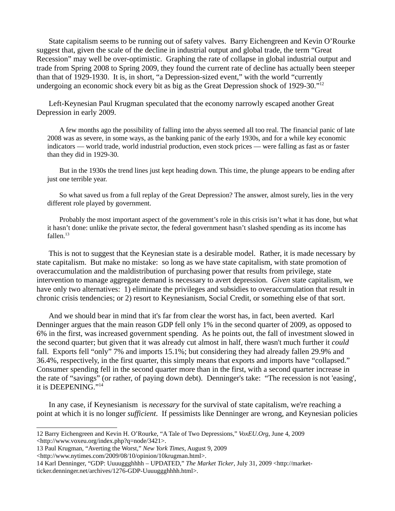State capitalism seems to be running out of safety valves. Barry Eichengreen and Kevin O'Rourke suggest that, given the scale of the decline in industrial output and global trade, the term "Great Recession" may well be over-optimistic. Graphing the rate of collapse in global industrial output and trade from Spring 2008 to Spring 2009, they found the current rate of decline has actually been steeper than that of 1929-1930. It is, in short, "a Depression-sized event," with the world "currently undergoing an economic shock every bit as big as the Great Depression shock of 1929-30."[12](#page-5-0)

Left-Keynesian Paul Krugman speculated that the economy narrowly escaped another Great Depression in early 2009.

A few months ago the possibility of falling into the abyss seemed all too real. The financial panic of late 2008 was as severe, in some ways, as the banking panic of the early 1930s, and for a while key economic indicators — world trade, world industrial production, even stock prices — were falling as fast as or faster than they did in 1929-30.

But in the 1930s the trend lines just kept heading down. This time, the plunge appears to be ending after just one terrible year.

So what saved us from a full replay of the Great Depression? The answer, almost surely, lies in the very different role played by government.

Probably the most important aspect of the government's role in this crisis isn't what it has done, but what it hasn't done: unlike the private sector, the federal government hasn't slashed spending as its income has  $fallen.<sup>13</sup>$  $fallen.<sup>13</sup>$  $fallen.<sup>13</sup>$ 

This is not to suggest that the Keynesian state is a desirable model. Rather, it is made necessary by state capitalism. But make no mistake: so long as we have state capitalism, with state promotion of overaccumulation and the maldistribution of purchasing power that results from privilege, state intervention to manage aggregate demand is necessary to avert depression. *Given* state capitalism, we have only two alternatives: 1) eliminate the privileges and subsidies to overaccumulation that result in chronic crisis tendencies; or 2) resort to Keynesianism, Social Credit, or something else of that sort.

And we should bear in mind that it's far from clear the worst has, in fact, been averted. Karl Denninger argues that the main reason GDP fell only 1% in the second quarter of 2009, as opposed to 6% in the first, was increased government spending. As he points out, the fall of investment slowed in the second quarter; but given that it was already cut almost in half, there wasn't much further it *could* fall. Exports fell "only" 7% and imports 15.1%; but considering they had already fallen 29.9% and 36.4%, respectively, in the first quarter, this simply means that exports and imports have "collapsed." Consumer spending fell in the second quarter more than in the first, with a second quarter increase in the rate of "savings" (or rather, of paying down debt). Denninger's take: "The recession is not 'easing', it is DEEPENING."[14](#page-5-2)

In any case, if Keynesianism is *necessary* for the survival of state capitalism, we're reaching a point at which it is no longer *sufficient*. If pessimists like Denninger are wrong, and Keynesian policies

<http://www.nytimes.com/2009/08/10/opinion/10krugman.html>.

<span id="page-5-0"></span><sup>12</sup> Barry Eichengreen and Kevin H. O'Rourke, "A Tale of Two Depressions," *VoxEU.Org*, June 4, 2009 <http://www.voxeu.org/index.php?q=node/3421>.

<span id="page-5-1"></span><sup>13</sup> Paul Krugman, "Averting the Worst," *New York Times*, August 9, 2009

<span id="page-5-2"></span><sup>14</sup> Karl Denninger, "GDP: Uuuuggghhhh – UPDATED," *The Market Ticker*, July 31, 2009 <http://marketticker.denninger.net/archives/1276-GDP-Uuuuggghhhh.html>.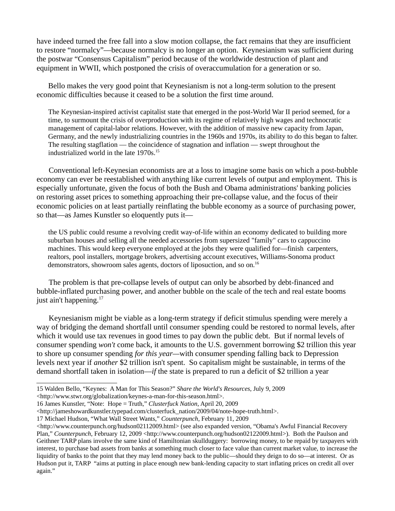have indeed turned the free fall into a slow motion collapse, the fact remains that they are insufficient to restore "normalcy"—because normalcy is no longer an option. Keynesianism was sufficient during the postwar "Consensus Capitalism" period because of the worldwide destruction of plant and equipment in WWII, which postponed the crisis of overaccumulation for a generation or so.

Bello makes the very good point that Keynesianism is not a long-term solution to the present economic difficulties because it ceased to be a solution the first time around.

The Keynesian-inspired activist capitalist state that emerged in the post-World War II period seemed, for a time, to surmount the crisis of overproduction with its regime of relatively high wages and technocratic management of capital-labor relations. However, with the addition of massive new capacity from Japan, Germany, and the newly industrializing countries in the 1960s and 1970s, its ability to do this began to falter. The resulting stagflation — the coincidence of stagnation and inflation — swept throughout the industrialized world in the late 1970s.<sup>[15](#page-6-0)</sup>

Conventional left-Keynesian economists are at a loss to imagine some basis on which a post-bubble economy can ever be reestablished with anything like current levels of output and employment. This is especially unfortunate, given the focus of both the Bush and Obama administrations' banking policies on restoring asset prices to something approaching their pre-collapse value, and the focus of their economic policies on at least partially reinflating the bubble economy as a source of purchasing power, so that—as James Kunstler so eloquently puts it—

the US public could resume a revolving credit way-of-life within an economy dedicated to building more suburban houses and selling all the needed accessories from supersized "family" cars to cappuccino machines. This would keep everyone employed at the jobs they were qualified for—finish carpenters, realtors, pool installers, mortgage brokers, advertising account executives, Williams-Sonoma product demonstrators, showroom sales agents, doctors of liposuction, and so on.<sup>[16](#page-6-1)</sup>

The problem is that pre-collapse levels of output can only be absorbed by debt-financed and bubble-inflated purchasing power, and another bubble on the scale of the tech and real estate booms just ain't happening.<sup>[17](#page-6-2)</sup>

Keynesianism might be viable as a long-term strategy if deficit stimulus spending were merely a way of bridging the demand shortfall until consumer spending could be restored to normal levels, after which it would use tax revenues in good times to pay down the public debt. But if normal levels of consumer spending *won't* come back, it amounts to the U.S. government borrowing \$2 trillion this year to shore up consumer spending *for this year—*with consumer spending falling back to Depression levels next year if *another* \$2 trillion isn't spent. So capitalism might be sustainable, in terms of the demand shortfall taken in isolation—*if* the state is prepared to run a deficit of \$2 trillion a year

<span id="page-6-0"></span>15 Walden Bello, "Keynes: A Man for This Season?" *Share the World's Resources*, July 9, 2009

<http://www.stwr.org/globalization/keynes-a-man-for-this-season.html>.

<http://jameshowardkunstler.typepad.com/clusterfuck\_nation/2009/04/note-hope-truth.html>.

<span id="page-6-1"></span><sup>16</sup> James Kunstler, "Note: Hope = Truth," *Clusterfuck Nation*, April 20, 2009

<span id="page-6-2"></span><sup>17</sup> Michael Hudson, "What Wall Street Wants," *Counterpunch*, February 11, 2009

<sup>&</sup>lt;http://www.counterpunch.org/hudson02112009.html> (see also expanded version, "Obama's Awful Financial Recovery Plan," *Counterpunch*, February 12, 2009 <http://www.counterpunch.org/hudson02122009.html>). Both the Paulson and Geithner TARP plans involve the same kind of Hamiltonian skullduggery: borrowing money, to be repaid by taxpayers with interest, to purchase bad assets from banks at something much closer to face value than current market value, to increase the liquidity of banks to the point that they may lend money back to the public—should they deign to do so—at interest. Or as Hudson put it, TARP "aims at putting in place enough new bank-lending capacity to start inflating prices on credit all over again."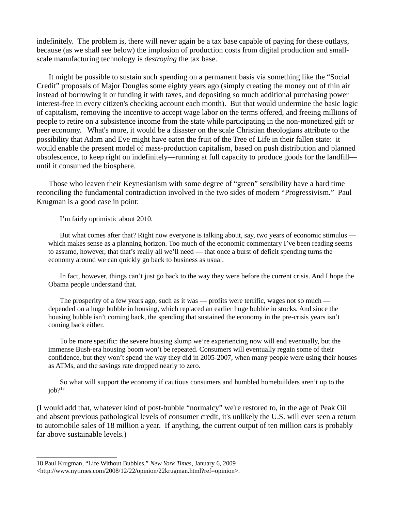indefinitely. The problem is, there will never again be a tax base capable of paying for these outlays, because (as we shall see below) the implosion of production costs from digital production and smallscale manufacturing technology is *destroying* the tax base.

It might be possible to sustain such spending on a permanent basis via something like the "Social Credit" proposals of Major Douglas some eighty years ago (simply creating the money out of thin air instead of borrowing it or funding it with taxes, and depositing so much additional purchasing power interest-free in every citizen's checking account each month). But that would undermine the basic logic of capitalism, removing the incentive to accept wage labor on the terms offered, and freeing millions of people to retire on a subsistence income from the state while participating in the non-monetized gift or peer economy. What's more, it would be a disaster on the scale Christian theologians attribute to the possibility that Adam and Eve might have eaten the fruit of the Tree of Life in their fallen state: it would enable the present model of mass-production capitalism, based on push distribution and planned obsolescence, to keep right on indefinitely—running at full capacity to produce goods for the landfill until it consumed the biosphere.

Those who leaven their Keynesianism with some degree of "green" sensibility have a hard time reconciling the fundamental contradiction involved in the two sides of modern "Progressivism." Paul Krugman is a good case in point:

I'm fairly optimistic about 2010.

But what comes after that? Right now everyone is talking about, say, two years of economic stimulus which makes sense as a planning horizon. Too much of the economic commentary I've been reading seems to assume, however, that that's really all we'll need — that once a burst of deficit spending turns the economy around we can quickly go back to business as usual.

In fact, however, things can't just go back to the way they were before the current crisis. And I hope the Obama people understand that.

The prosperity of a few years ago, such as it was — profits were terrific, wages not so much depended on a huge bubble in housing, which replaced an earlier huge bubble in stocks. And since the housing bubble isn't coming back, the spending that sustained the economy in the pre-crisis years isn't coming back either.

To be more specific: the severe housing slump we're experiencing now will end eventually, but the immense Bush-era housing boom won't be repeated. Consumers will eventually regain some of their confidence, but they won't spend the way they did in 2005-2007, when many people were using their houses as ATMs, and the savings rate dropped nearly to zero.

So what will support the economy if cautious consumers and humbled homebuilders aren't up to the  $job?$ <sup>[18](#page-7-0)</sup>

(I would add that, whatever kind of post-bubble "normalcy" we're restored to, in the age of Peak Oil and absent previous pathological levels of consumer credit, it's unlikely the U.S. will ever seen a return to automobile sales of 18 million a year. If anything, the current output of ten million cars is probably far above sustainable levels.)

<span id="page-7-0"></span><sup>18</sup> Paul Krugman, "Life Without Bubbles," *New York Times*, January 6, 2009

<sup>&</sup>lt;http://www.nytimes.com/2008/12/22/opinion/22krugman.html?ref=opinion>.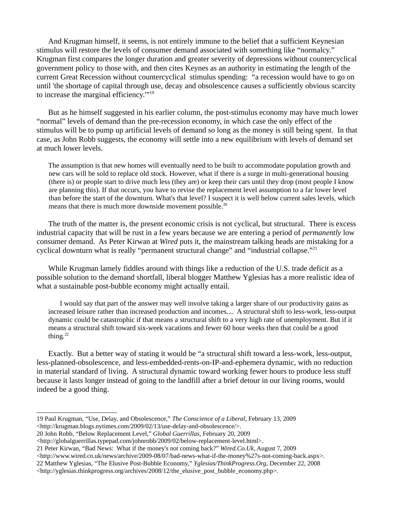And Krugman himself, it seems, is not entirely immune to the belief that a sufficient Keynesian stimulus will restore the levels of consumer demand associated with something like "normalcy." Krugman first compares the longer duration and greater severity of depressions without countercyclical government policy to those with, and then cites Keynes as an authority in estimating the length of the current Great Recession without countercyclical stimulus spending: "a recession would have to go on until 'the shortage of capital through use, decay and obsolescence causes a sufficiently obvious scarcity to increase the marginal efficiency."<sup>[19](#page-8-0)</sup>

But as he himself suggested in his earlier column, the post-stimulus economy may have much lower "normal" levels of demand than the pre-recession economy, in which case the only effect of the stimulus will be to pump up artificial levels of demand so long as the money is still being spent. In that case, as John Robb suggests, the economy will settle into a new equilibrium with levels of demand set at much lower levels.

The assumption is that new homes will eventually need to be built to accommodate population growth and new cars will be sold to replace old stock. However, what if there is a surge in multi-generational housing (there is) or people start to drive much less (they are) or keep their cars until they drop (most people I know are planning this). If that occurs, you have to revise the replacement level assumption to a far lower level than before the start of the downturn. What's that level? I suspect it is well below current sales levels, which means that there is much more downside movement possible.<sup>[20](#page-8-1)</sup>

The truth of the matter is, the present economic crisis is not cyclical, but structural. There is excess industrial capacity that will be rust in a few years because we are entering a period of *permanently* low consumer demand. As Peter Kirwan at *Wired* puts it, the mainstream talking heads are mistaking for a cyclical downturn what is really "permanent structural change" and "industrial collapse."<sup>[21](#page-8-2)</sup>

While Krugman lamely fiddles around with things like a reduction of the U.S. trade deficit as a possible solution to the demand shortfall, liberal blogger Matthew Yglesias has a more realistic idea of what a sustainable post-bubble economy might actually entail.

I would say that part of the answer may well involve taking a larger share of our productivity gains as increased leisure rather than increased production and incomes.... A structural shift to less-work, less-output dynamic could be catastrophic if that means a structural shift to a very high rate of unemployment. But if it means a structural shift toward six-week vacations and fewer 60 hour weeks then that could be a good thing. $^{22}$  $^{22}$  $^{22}$ 

Exactly. But a better way of stating it would be "a structural shift toward a less-work, less-output, less-planned-obsolescence, and less-embedded-rents-on-IP-and-ephemera dynamic, with no reduction in material standard of living. A structural dynamic toward working fewer hours to produce less stuff because it lasts longer instead of going to the landfill after a brief detour in our living rooms, would indeed be a good thing.

<span id="page-8-0"></span><sup>19</sup> Paul Krugman, "Use, Delay, and Obsolescence," *The Conscience of a Liberal*, February 13, 2009 <http://krugman.blogs.nytimes.com/2009/02/13/use-delay-and-obsolescence/>.

<span id="page-8-1"></span><sup>20</sup> John Robb, "Below Replacement Level," *Global Guerrillas*, February 20, 2009

<sup>&</sup>lt;http://globalguerrillas.typepad.com/johnrobb/2009/02/below-replacement-level.html>.

<span id="page-8-2"></span><sup>21</sup> Peter Kirwan, "Bad News: What if the money's not coming back?" *Wired.Co.Uk*, August 7, 2009

<sup>&</sup>lt;http://www.wired.co.uk/news/archive/2009-08/07/bad-news-what-if-the-money%27s-not-coming-back.aspx>.

<span id="page-8-3"></span><sup>22</sup> Matthew Yglesias, "The Elusive Post-Bubble Economy," *Yglesias/ThinkProgress.Org*, December 22, 2008

<sup>&</sup>lt;http://yglesias.thinkprogress.org/archives/2008/12/the\_elusive\_post\_bubble\_economy.php>.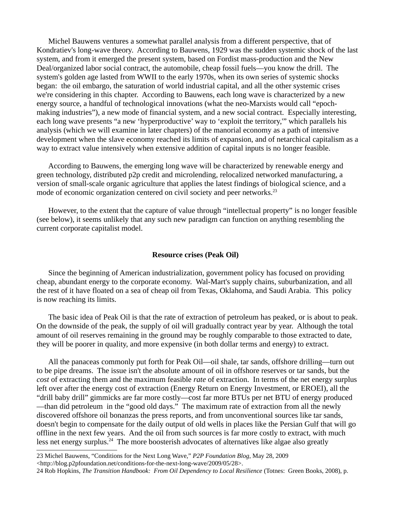Michel Bauwens ventures a somewhat parallel analysis from a different perspective, that of Kondratiev's long-wave theory. According to Bauwens, 1929 was the sudden systemic shock of the last system, and from it emerged the present system, based on Fordist mass-production and the New Deal/organized labor social contract, the automobile, cheap fossil fuels—you know the drill. The system's golden age lasted from WWII to the early 1970s, when its own series of systemic shocks began: the oil embargo, the saturation of world industrial capital, and all the other systemic crises we're considering in this chapter. According to Bauwens, each long wave is characterized by a new energy source, a handful of technological innovations (what the neo-Marxists would call "epochmaking industries"), a new mode of financial system, and a new social contract. Especially interesting, each long wave presents "a new 'hyperproductive' way to 'exploit the territory,'" which parallels his analysis (which we will examine in later chapters) of the manorial economy as a path of intensive development when the slave economy reached its limits of expansion, and of netarchical capitalism as a way to extract value intensively when extensive addition of capital inputs is no longer feasible.

According to Bauwens, the emerging long wave will be characterized by renewable energy and green technology, distributed p2p credit and microlending, relocalized networked manufacturing, a version of small-scale organic agriculture that applies the latest findings of biological science, and a mode of economic organization centered on civil society and peer networks.<sup>[23](#page-9-0)</sup>

However, to the extent that the capture of value through "intellectual property" is no longer feasible (see below), it seems unlikely that any such new paradigm can function on anything resembling the current corporate capitalist model.

#### **Resource crises (Peak Oil)**

Since the beginning of American industrialization, government policy has focused on providing cheap, abundant energy to the corporate economy. Wal-Mart's supply chains, suburbanization, and all the rest of it have floated on a sea of cheap oil from Texas, Oklahoma, and Saudi Arabia. This policy is now reaching its limits.

The basic idea of Peak Oil is that the rate of extraction of petroleum has peaked, or is about to peak. On the downside of the peak, the supply of oil will gradually contract year by year. Although the total amount of oil reserves remaining in the ground may be roughly comparable to those extracted to date, they will be poorer in quality, and more expensive (in both dollar terms and energy) to extract.

All the panaceas commonly put forth for Peak Oil—oil shale, tar sands, offshore drilling—turn out to be pipe dreams. The issue isn't the absolute amount of oil in offshore reserves or tar sands, but the *cost* of extracting them and the maximum feasible *rate* of extraction. In terms of the net energy surplus left over after the energy cost of extraction (Energy Return on Energy Investment, or EROEI), all the "drill baby drill" gimmicks are far more costly—cost far more BTUs per net BTU of energy produced —than did petroleum in the "good old days." The maximum rate of extraction from all the newly discovered offshore oil bonanzas the press reports, and from unconventional sources like tar sands, doesn't begin to compensate for the daily output of old wells in places like the Persian Gulf that will go offline in the next few years. And the oil from such sources is far more costly to extract, with much less net energy surplus.<sup>[24](#page-9-1)</sup> The more boosterish advocates of alternatives like algae also greatly

<span id="page-9-0"></span>23 Michel Bauwens, "Conditions for the Next Long Wave," *P2P Foundation Blog*, May 28, 2009 <http://blog.p2pfoundation.net/conditions-for-the-next-long-wave/2009/05/28>.

<span id="page-9-1"></span><sup>24</sup> Rob Hopkins, *The Transition Handbook: From Oil Dependency to Local Resilience* (Totnes: Green Books, 2008), p.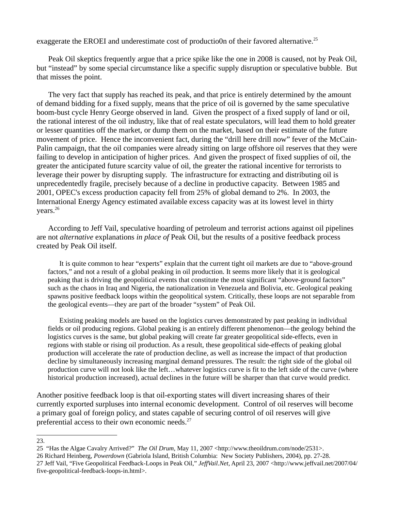exaggerate the EROEI and underestimate cost of productio0n of their favored alternative.<sup>[25](#page-10-0)</sup>

Peak Oil skeptics frequently argue that a price spike like the one in 2008 is caused, not by Peak Oil, but "instead" by some special circumstance like a specific supply disruption or speculative bubble. But that misses the point.

The very fact that supply has reached its peak, and that price is entirely determined by the amount of demand bidding for a fixed supply, means that the price of oil is governed by the same speculative boom-bust cycle Henry George observed in land. Given the prospect of a fixed supply of land or oil, the rational interest of the oil industry, like that of real estate speculators, will lead them to hold greater or lesser quantities off the market, or dump them on the market, based on their estimate of the future movement of price. Hence the inconvenient fact, during the "drill here drill now" fever of the McCain-Palin campaign, that the oil companies were already sitting on large offshore oil reserves that they were failing to develop in anticipation of higher prices. And given the prospect of fixed supplies of oil, the greater the anticipated future scarcity value of oil, the greater the rational incentive for terrorists to leverage their power by disrupting supply. The infrastructure for extracting and distributing oil is unprecedentedly fragile, precisely because of a decline in productive capacity. Between 1985 and 2001, OPEC's excess production capacity fell from 25% of global demand to 2%. In 2003, the International Energy Agency estimated available excess capacity was at its lowest level in thirty years.[26](#page-10-1)

According to Jeff Vail, speculative hoarding of petroleum and terrorist actions against oil pipelines are not *alternative* explanations *in place of* Peak Oil, but the results of a positive feedback process created by Peak Oil itself.

It is quite common to hear "experts" explain that the current tight oil markets are due to "above-ground factors," and not a result of a global peaking in oil production. It seems more likely that it is geological peaking that is driving the geopolitical events that constitute the most significant "above-ground factors" such as the chaos in Iraq and Nigeria, the nationalization in Venezuela and Bolivia, etc. Geological peaking spawns positive feedback loops within the geopolitical system. Critically, these loops are not separable from the geological events—they are part of the broader "system" of Peak Oil.

Existing peaking models are based on the logistics curves demonstrated by past peaking in individual fields or oil producing regions. Global peaking is an entirely different phenomenon—the geology behind the logistics curves is the same, but global peaking will create far greater geopolitical side-effects, even in regions with stable or rising oil production. As a result, these geopolitical side-effects of peaking global production will accelerate the rate of production decline, as well as increase the impact of that production decline by simultaneously increasing marginal demand pressures. The result: the right side of the global oil production curve will not look like the left…whatever logistics curve is fit to the left side of the curve (where historical production increased), actual declines in the future will be sharper than that curve would predict.

Another positive feedback loop is that oil-exporting states will divert increasing shares of their currently exported surpluses into internal economic development. Control of oil reserves will become a primary goal of foreign policy, and states capable of securing control of oil reserves will give preferential access to their own economic needs.<sup>[27](#page-10-2)</sup>

<sup>23.</sup>

<span id="page-10-0"></span><sup>25 &</sup>quot;Has the Algae Cavalry Arrived?" *The Oil Drum*, May 11, 2007 <http://www.theoildrum.com/node/2531>.

<span id="page-10-1"></span><sup>26</sup> Richard Heinberg, *Powerdown* (Gabriola Island, British Columbia: New Society Publishers, 2004), pp. 27-28.

<span id="page-10-2"></span><sup>27</sup> Jeff Vail, "Five Geopolitical Feedback-Loops in Peak Oil," *JeffVail.Net*, April 23, 2007 <http://www.jeffvail.net/2007/04/ five-geopolitical-feedback-loops-in.html>.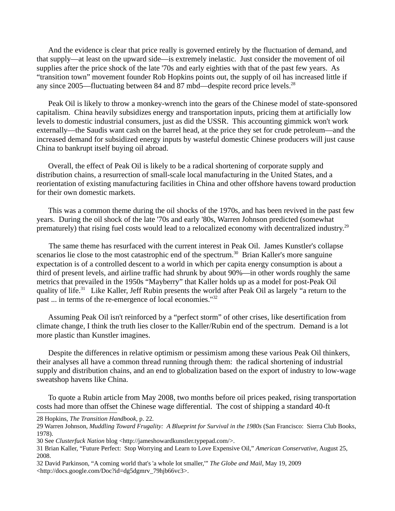And the evidence is clear that price really is governed entirely by the fluctuation of demand, and that supply—at least on the upward side—is extremely inelastic. Just consider the movement of oil supplies after the price shock of the late '70s and early eighties with that of the past few years. As "transition town" movement founder Rob Hopkins points out, the supply of oil has increased little if any since 2005—fluctuating between 84 and 87 mbd—despite record price levels.<sup>[28](#page-11-0)</sup>

Peak Oil is likely to throw a monkey-wrench into the gears of the Chinese model of state-sponsored capitalism. China heavily subsidizes energy and transportation inputs, pricing them at artificially low levels to domestic industrial consumers, just as did the USSR. This accounting gimmick won't work externally—the Saudis want cash on the barrel head, at the price they set for crude petroleum—and the increased demand for subsidized energy inputs by wasteful domestic Chinese producers will just cause China to bankrupt itself buying oil abroad.

Overall, the effect of Peak Oil is likely to be a radical shortening of corporate supply and distribution chains, a resurrection of small-scale local manufacturing in the United States, and a reorientation of existing manufacturing facilities in China and other offshore havens toward production for their own domestic markets.

This was a common theme during the oil shocks of the 1970s, and has been revived in the past few years. During the oil shock of the late '70s and early '80s, Warren Johnson predicted (somewhat prematurely) that rising fuel costs would lead to a relocalized economy with decentralized industry.<sup>[29](#page-11-1)</sup>

The same theme has resurfaced with the current interest in Peak Oil. James Kunstler's collapse scenarios lie close to the most catastrophic end of the spectrum.<sup>[30](#page-11-2)</sup> Brian Kaller's more sanguine expectation is of a controlled descent to a world in which per capita energy consumption is about a third of present levels, and airline traffic had shrunk by about 90%—in other words roughly the same metrics that prevailed in the 1950s "Mayberry" that Kaller holds up as a model for post-Peak Oil quality of life.<sup>[31](#page-11-3)</sup> Like Kaller, Jeff Rubin presents the world after Peak Oil as largely "a return to the past ... in terms of the re-emergence of local economies."[32](#page-11-4)

Assuming Peak Oil isn't reinforced by a "perfect storm" of other crises, like desertification from climate change, I think the truth lies closer to the Kaller/Rubin end of the spectrum. Demand is a lot more plastic than Kunstler imagines.

Despite the differences in relative optimism or pessimism among these various Peak Oil thinkers, their analyses all have a common thread running through them: the radical shortening of industrial supply and distribution chains, and an end to globalization based on the export of industry to low-wage sweatshop havens like China.

To quote a Rubin article from May 2008, two months before oil prices peaked, rising transportation costs had more than offset the Chinese wage differential. The cost of shipping a standard 40-ft

<span id="page-11-0"></span>28 Hopkins, *The Transition Handbook*, p. 22.

<span id="page-11-1"></span><sup>29</sup> Warren Johnson, *Muddling Toward Frugality: A Blueprint for Survival in the 1980s* (San Francisco: Sierra Club Books, 1978).

<span id="page-11-2"></span><sup>30</sup> See *Clusterfuck Nation* blog <http://jameshowardkunstler.typepad.com/>.

<span id="page-11-3"></span><sup>31</sup> Brian Kaller, "Future Perfect: Stop Worrying and Learn to Love Expensive Oil," *American Conservative*, August 25, 2008.

<span id="page-11-4"></span><sup>32</sup> David Parkinson, "A coming world that's 'a whole lot smaller,'" *The Globe and Mail*, May 19, 2009 <http://docs.google.com/Doc?id=dg5dgmrv\_79hjb66vc3>.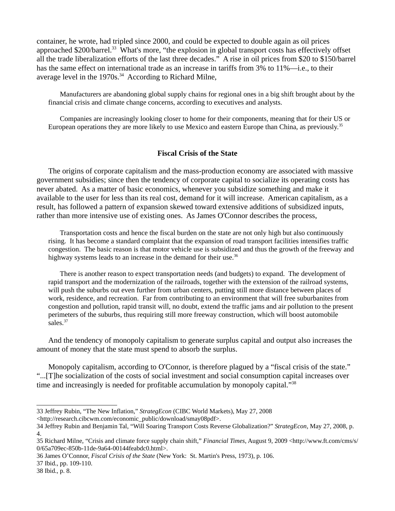container, he wrote, had tripled since 2000, and could be expected to double again as oil prices approached \$200/barrel.<sup>[33](#page-12-0)</sup> What's more, "the explosion in global transport costs has effectively offset all the trade liberalization efforts of the last three decades." A rise in oil prices from \$20 to \$150/barrel has the same effect on international trade as an increase in tariffs from 3% to 11%—i.e., to their average level in the 1970s.<sup>[34](#page-12-1)</sup> According to Richard Milne,

Manufacturers are abandoning global supply chains for regional ones in a big shift brought about by the financial crisis and climate change concerns, according to executives and analysts.

Companies are increasingly looking closer to home for their components, meaning that for their US or European operations they are more likely to use Mexico and eastern Europe than China, as previously.[35](#page-12-2)

#### **Fiscal Crisis of the State**

The origins of corporate capitalism and the mass-production economy are associated with massive government subsidies; since then the tendency of corporate capital to socialize its operating costs has never abated. As a matter of basic economics, whenever you subsidize something and make it available to the user for less than its real cost, demand for it will increase. American capitalism, as a result, has followed a pattern of expansion skewed toward extensive additions of subsidized inputs, rather than more intensive use of existing ones. As James O'Connor describes the process,

Transportation costs and hence the fiscal burden on the state are not only high but also continuously rising. It has become a standard complaint that the expansion of road transport facilities intensifies traffic congestion. The basic reason is that motor vehicle use is subsidized and thus the growth of the freeway and highway systems leads to an increase in the demand for their use. $36$ 

There is another reason to expect transportation needs (and budgets) to expand. The development of rapid transport and the modernization of the railroads, together with the extension of the railroad systems, will push the suburbs out even further from urban centers, putting still more distance between places of work, residence, and recreation. Far from contributing to an environment that will free suburbanites from congestion and pollution, rapid transit will, no doubt, extend the traffic jams and air pollution to the present perimeters of the suburbs, thus requiring still more freeway construction, which will boost automobile sales.<sup>[37](#page-12-4)</sup>

And the tendency of monopoly capitalism to generate surplus capital and output also increases the amount of money that the state must spend to absorb the surplus.

Monopoly capitalism, according to O'Connor, is therefore plagued by a "fiscal crisis of the state." "...[T]he socialization of the costs of social investment and social consumption capital increases over time and increasingly is needed for profitable accumulation by monopoly capital."<sup>[38](#page-12-5)</sup>

<span id="page-12-0"></span>33 Jeffrey Rubin, "The New Inflation," *StrategEcon* (CIBC World Markets), May 27, 2008

<http://research.cibcwm.com/economic\_public/download/smay08pdf>.

<span id="page-12-3"></span>36 James O'Connor, *Fiscal Crisis of the State* (New York: St. Martin's Press, 1973), p. 106.

<span id="page-12-4"></span>37 Ibid., pp. 109-110.

<span id="page-12-5"></span>38 Ibid., p. 8.

<span id="page-12-1"></span><sup>34</sup> Jeffrey Rubin and Benjamin Tal, "Will Soaring Transport Costs Reverse Globalization?" *StrategEcon*, May 27, 2008, p. 4.

<span id="page-12-2"></span><sup>35</sup> Richard Milne, "Crisis and climate force supply chain shift," *Financial Times*, August 9, 2009 <http://www.ft.com/cms/s/ 0/65a709ec-850b-11de-9a64-00144feabdc0.html>.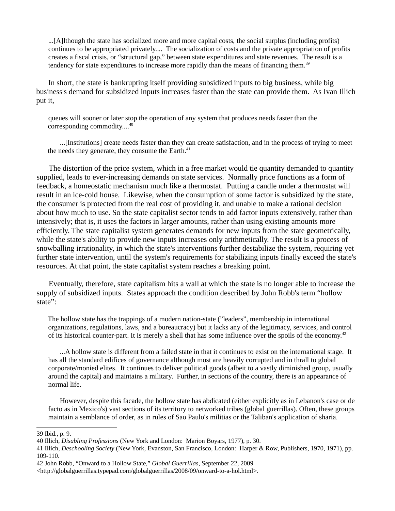...[A]lthough the state has socialized more and more capital costs, the social surplus (including profits) continues to be appropriated privately.... The socialization of costs and the private appropriation of profits creates a fiscal crisis, or "structural gap," between state expenditures and state revenues. The result is a tendency for state expenditures to increase more rapidly than the means of financing them.<sup>[39](#page-13-0)</sup>

In short, the state is bankrupting itself providing subsidized inputs to big business, while big business's demand for subsidized inputs increases faster than the state can provide them. As Ivan Illich put it,

queues will sooner or later stop the operation of any system that produces needs faster than the corresponding commodity....<sup>[40](#page-13-1)</sup>

...[Institutions] create needs faster than they can create satisfaction, and in the process of trying to meet the needs they generate, they consume the Earth. $41$ 

The distortion of the price system, which in a free market would tie quantity demanded to quantity supplied, leads to ever-increasing demands on state services. Normally price functions as a form of feedback, a homeostatic mechanism much like a thermostat. Putting a candle under a thermostat will result in an ice-cold house. Likewise, when the consumption of some factor is subsidized by the state, the consumer is protected from the real cost of providing it, and unable to make a rational decision about how much to use. So the state capitalist sector tends to add factor inputs extensively, rather than intensively; that is, it uses the factors in larger amounts, rather than using existing amounts more efficiently. The state capitalist system generates demands for new inputs from the state geometrically, while the state's ability to provide new inputs increases only arithmetically. The result is a process of snowballing irrationality, in which the state's interventions further destabilize the system, requiring yet further state intervention, until the system's requirements for stabilizing inputs finally exceed the state's resources. At that point, the state capitalist system reaches a breaking point.

Eventually, therefore, state capitalism hits a wall at which the state is no longer able to increase the supply of subsidized inputs. States approach the condition described by John Robb's term "hollow state":

The hollow state has the trappings of a modern nation-state ("leaders", membership in international organizations, regulations, laws, and a bureaucracy) but it lacks any of the legitimacy, services, and control of its historical counter-part. It is merely a shell that has some influence over the spoils of the economy.[42](#page-13-3)

...A hollow state is different from a failed state in that it continues to exist on the international stage. It has all the standard edifices of governance although most are heavily corrupted and in thrall to global corporate/monied elites. It continues to deliver political goods (albeit to a vastly diminished group, usually around the capital) and maintains a military. Further, in sections of the country, there is an appearance of normal life.

However, despite this facade, the hollow state has abdicated (either explicitly as in Lebanon's case or de facto as in Mexico's) vast sections of its territory to networked tribes (global guerrillas). Often, these groups maintain a semblance of order, as in rules of Sao Paulo's militias or the Taliban's application of sharia.

<span id="page-13-0"></span><sup>39</sup> Ibid., p. 9.

<span id="page-13-1"></span><sup>40</sup> Illich, *Disabling Professions* (New York and London: Marion Boyars, 1977), p. 30.

<span id="page-13-2"></span><sup>41</sup> Illich, *Deschooling Society* (New York, Evanston, San Francisco, London: Harper & Row, Publishers, 1970, 1971), pp. 109-110.

<span id="page-13-3"></span><sup>42</sup> John Robb, "Onward to a Hollow State," *Global Guerrillas*, September 22, 2009

<sup>&</sup>lt;http://globalguerrillas.typepad.com/globalguerrillas/2008/09/onward-to-a-hol.html>.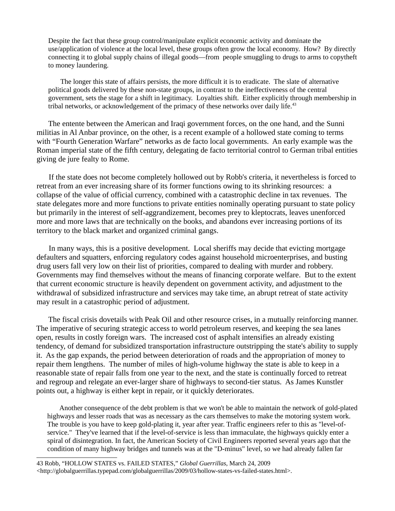Despite the fact that these group control/manipulate explicit economic activity and dominate the use/application of violence at the local level, these groups often grow the local economy. How? By directly connecting it to global supply chains of illegal goods—from people smuggling to drugs to arms to copytheft to money laundering.

The longer this state of affairs persists, the more difficult it is to eradicate. The slate of alternative political goods delivered by these non-state groups, in contrast to the ineffectiveness of the central government, sets the stage for a shift in legitimacy. Loyalties shift. Either explicitly through membership in tribal networks, or acknowledgement of the primacy of these networks over daily life.<sup>[43](#page-14-0)</sup>

The entente between the American and Iraqi government forces, on the one hand, and the Sunni militias in Al Anbar province, on the other, is a recent example of a hollowed state coming to terms with "Fourth Generation Warfare" networks as de facto local governments. An early example was the Roman imperial state of the fifth century, delegating de facto territorial control to German tribal entities giving de jure fealty to Rome.

If the state does not become completely hollowed out by Robb's criteria, it nevertheless is forced to retreat from an ever increasing share of its former functions owing to its shrinking resources: a collapse of the value of official currency, combined with a catastrophic decline in tax revenues. The state delegates more and more functions to private entities nominally operating pursuant to state policy but primarily in the interest of self-aggrandizement, becomes prey to kleptocrats, leaves unenforced more and more laws that are technically on the books, and abandons ever increasing portions of its territory to the black market and organized criminal gangs.

In many ways, this is a positive development. Local sheriffs may decide that evicting mortgage defaulters and squatters, enforcing regulatory codes against household microenterprises, and busting drug users fall very low on their list of priorities, compared to dealing with murder and robbery. Governments may find themselves without the means of financing corporate welfare. But to the extent that current economic structure is heavily dependent on government activity, and adjustment to the withdrawal of subsidized infrastructure and services may take time, an abrupt retreat of state activity may result in a catastrophic period of adjustment.

The fiscal crisis dovetails with Peak Oil and other resource crises, in a mutually reinforcing manner. The imperative of securing strategic access to world petroleum reserves, and keeping the sea lanes open, results in costly foreign wars. The increased cost of asphalt intensifies an already existing tendency, of demand for subsidized transportation infrastructure outstripping the state's ability to supply it. As the gap expands, the period between deterioration of roads and the appropriation of money to repair them lengthens. The number of miles of high-volume highway the state is able to keep in a reasonable state of repair falls from one year to the next, and the state is continually forced to retreat and regroup and relegate an ever-larger share of highways to second-tier status. As James Kunstler points out, a highway is either kept in repair, or it quickly deteriorates.

Another consequence of the debt problem is that we won't be able to maintain the network of gold-plated highways and lesser roads that was as necessary as the cars themselves to make the motoring system work. The trouble is you have to keep gold-plating it, year after year. Traffic engineers refer to this as "level-ofservice." They've learned that if the level-of-service is less than immaculate, the highways quickly enter a spiral of disintegration. In fact, the American Society of Civil Engineers reported several years ago that the condition of many highway bridges and tunnels was at the "D-minus" level, so we had already fallen far

<span id="page-14-0"></span>43 Robb, "HOLLOW STATES vs. FAILED STATES," *Global Guerrillas*, March 24, 2009 <http://globalguerrillas.typepad.com/globalguerrillas/2009/03/hollow-states-vs-failed-states.html>.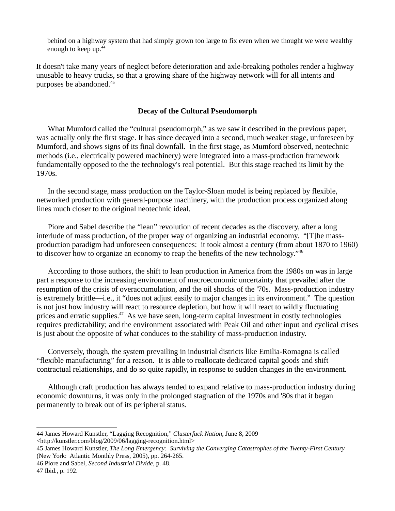behind on a highway system that had simply grown too large to fix even when we thought we were wealthy enough to keep up.<sup>[44](#page-15-0)</sup>

It doesn't take many years of neglect before deterioration and axle-breaking potholes render a highway unusable to heavy trucks, so that a growing share of the highway network will for all intents and purposes be abandoned.[45](#page-15-1)

#### **Decay of the Cultural Pseudomorph**

What Mumford called the "cultural pseudomorph," as we saw it described in the previous paper, was actually only the first stage. It has since decayed into a second, much weaker stage, unforeseen by Mumford, and shows signs of its final downfall. In the first stage, as Mumford observed, neotechnic methods (i.e., electrically powered machinery) were integrated into a mass-production framework fundamentally opposed to the the technology's real potential. But this stage reached its limit by the 1970s.

In the second stage, mass production on the Taylor-Sloan model is being replaced by flexible, networked production with general-purpose machinery, with the production process organized along lines much closer to the original neotechnic ideal.

Piore and Sabel describe the "lean" revolution of recent decades as the discovery, after a long interlude of mass production, of the proper way of organizing an industrial economy. "[T]he massproduction paradigm had unforeseen consequences: it took almost a century (from about 1870 to 1960) to discover how to organize an economy to reap the benefits of the new technology."[46](#page-15-2)

According to those authors, the shift to lean production in America from the 1980s on was in large part a response to the increasing environment of macroeconomic uncertainty that prevailed after the resumption of the crisis of overaccumulation, and the oil shocks of the '70s. Mass-production industry is extremely brittle—i.e., it "does not adjust easily to major changes in its environment." The question is not just how industry will react to resource depletion, but how it will react to wildly fluctuating prices and erratic supplies.<sup>[47](#page-15-3)</sup> As we have seen, long-term capital investment in costly technologies requires predictability; and the environment associated with Peak Oil and other input and cyclical crises is just about the opposite of what conduces to the stability of mass-production industry.

Conversely, though, the system prevailing in industrial districts like Emilia-Romagna is called "flexible manufacturing" for a reason. It is able to reallocate dedicated capital goods and shift contractual relationships, and do so quite rapidly, in response to sudden changes in the environment.

Although craft production has always tended to expand relative to mass-production industry during economic downturns, it was only in the prolonged stagnation of the 1970s and '80s that it began permanently to break out of its peripheral status.

<span id="page-15-2"></span>46 Piore and Sabel, *Second Industrial Divide*, p. 48.

<span id="page-15-0"></span><sup>44</sup> James Howard Kunstler, "Lagging Recognition," *Clusterfuck Nation*, June 8, 2009 <http://kunstler.com/blog/2009/06/lagging-recognition.html>

<span id="page-15-1"></span><sup>45</sup> James Howard Kunstler, *The Long Emergency: Surviving the Converging Catastrophes of the Twenty-First Century* (New York: Atlantic Monthly Press, 2005), pp. 264-265.

<span id="page-15-3"></span><sup>47</sup> Ibid., p. 192.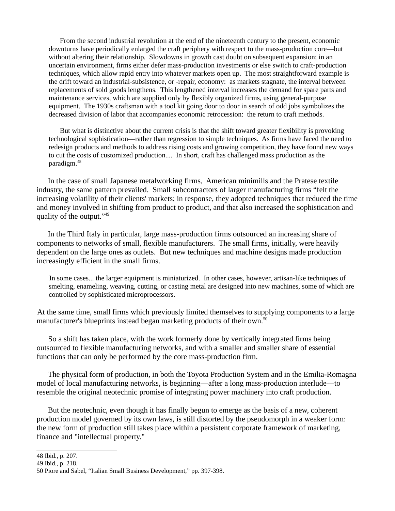From the second industrial revolution at the end of the nineteenth century to the present, economic downturns have periodically enlarged the craft periphery with respect to the mass-production core—but without altering their relationship. Slowdowns in growth cast doubt on subsequent expansion; in an uncertain environment, firms either defer mass-production investments or else switch to craft-production techniques, which allow rapid entry into whatever markets open up. The most straightforward example is the drift toward an industrial-subsistence, or -repair, economy: as markets stagnate, the interval between replacements of sold goods lengthens. This lengthened interval increases the demand for spare parts and maintenance services, which are supplied only by flexibly organized firms, using general-purpose equipment. The 1930s craftsman with a tool kit going door to door in search of odd jobs symbolizes the decreased division of labor that accompanies economic retrocession: the return to craft methods.

But what is distinctive about the current crisis is that the shift toward greater flexibility is provoking technological sophistication—rather than regression to simple techniques. As firms have faced the need to redesign products and methods to address rising costs and growing competition, they have found new ways to cut the costs of customized production.... In short, craft has challenged mass production as the paradigm.[48](#page-16-0)

In the case of small Japanese metalworking firms, American minimills and the Pratese textile industry, the same pattern prevailed. Small subcontractors of larger manufacturing firms "felt the increasing volatility of their clients' markets; in response, they adopted techniques that reduced the time and money involved in shifting from product to product, and that also increased the sophistication and quality of the output."<sup>[49](#page-16-1)</sup>

In the Third Italy in particular, large mass-production firms outsourced an increasing share of components to networks of small, flexible manufacturers. The small firms, initially, were heavily dependent on the large ones as outlets. But new techniques and machine designs made production increasingly efficient in the small firms.

In some cases... the larger equipment is miniaturized. In other cases, however, artisan-like techniques of smelting, enameling, weaving, cutting, or casting metal are designed into new machines, some of which are controlled by sophisticated microprocessors.

At the same time, small firms which previously limited themselves to supplying components to a large manufacturer's blueprints instead began marketing products of their own.<sup>[50](#page-16-2)</sup>

So a shift has taken place, with the work formerly done by vertically integrated firms being outsourced to flexible manufacturing networks, and with a smaller and smaller share of essential functions that can only be performed by the core mass-production firm.

The physical form of production, in both the Toyota Production System and in the Emilia-Romagna model of local manufacturing networks, is beginning—after a long mass-production interlude—to resemble the original neotechnic promise of integrating power machinery into craft production.

But the neotechnic, even though it has finally begun to emerge as the basis of a new, coherent production model governed by its own laws, is still distorted by the pseudomorph in a weaker form: the new form of production still takes place within a persistent corporate framework of marketing, finance and "intellectual property."

<span id="page-16-0"></span><sup>48</sup> Ibid., p. 207.

<span id="page-16-1"></span><sup>49</sup> Ibid., p. 218.

<span id="page-16-2"></span><sup>50</sup> Piore and Sabel, "Italian Small Business Development," pp. 397-398.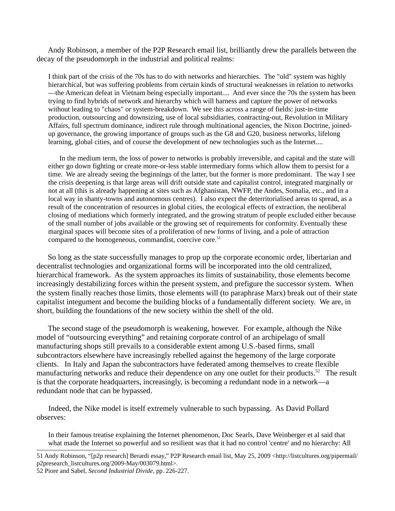Andy Robinson, a member of the P2P Research email list, brilliantly drew the parallels between the decay of the pseudomorph in the industrial and political realms:

I think part of the crisis of the 70s has to do with networks and hierarchies. The "old" system was highly hierarchical, but was suffering problems from certain kinds of structural weaknesses in relation to networks —the American defeat in Vietnam being especially important.... And ever since the 70s the system has been trying to find hybrids of network and hierarchy which will harness and capture the power of networks without leading to "chaos" or system-breakdown. We see this across a range of fields: just-in-time production, outsourcing and downsizing, use of local subsidiaries, contracting-out, Revolution in Military Affairs, full spectrum dominance, indirect rule through multinational agencies, the Nixon Doctrine, joinedup governance, the growing importance of groups such as the G8 and G20, business networks, lifelong learning, global cities, and of course the development of new technologies such as the Internet....

In the medium term, the loss of power to networks is probably irreversible, and capital and the state will either go down fighting or create more-or-less stable intermediary forms which allow them to persist for a time. We are already seeing the beginnings of the latter, but the former is more predominant. The way I see the crisis deepening is that large areas will drift outside state and capitalist control, integrated marginally or not at all (this is already happening at sites such as Afghanistan, NWFP, the Andes, Somalia, etc., and in a local way in shanty-towns and autonomous centres). I also expect the deterritorialised areas to spread, as a result of the concentration of resources in global cities, the ecological effects of extraction, the neoliberal closing of mediations which formerly integrated, and the growing stratum of people excluded either because of the small number of jobs available or the growing set of requirements for conformity. Eventually these marginal spaces will become sites of a proliferation of new forms of living, and a pole of attraction compared to the homogeneous, commandist, coercive core.<sup>[51](#page-17-0)</sup>

So long as the state successfully manages to prop up the corporate economic order, libertarian and decentralist technologies and organizational forms will be incorporated into the old centralized, hierarchical framework. As the system approaches its limits of sustainability, those elements become increasingly destabilizing forces within the present system, and prefigure the successor system. When the system finally reaches those limits, those elements will (to paraphrase Marx) break out of their state capitalist integument and become the building blocks of a fundamentally different society. We are, in short, building the foundations of the new society within the shell of the old.

The second stage of the pseudomorph is weakening, however. For example, although the Nike model of "outsourcing everything" and retaining corporate control of an archipelago of small manufacturing shops still prevails to a considerable extent among U.S.-based firms, small subcontractors elsewhere have increasingly rebelled against the hegemony of the large corporate clients. In Italy and Japan the subcontractors have federated among themselves to create flexible manufacturing networks and reduce their dependence on any one outlet for their products.<sup>[52](#page-17-1)</sup> The result is that the corporate headquarters, increasingly, is becoming a redundant node in a network—a redundant node that can be bypassed.

Indeed, the Nike model is itself extremely vulnerable to such bypassing. As David Pollard observes:

In their famous treatise explaining the Internet phenomenon, Doc Searls, Dave Weinberger et al said that what made the Internet so powerful and so resilient was that it had no control 'centre' and no hierarchy: All

<span id="page-17-0"></span><sup>51</sup> Andy Robinson, "[p2p research] Berardi essay," P2P Research email list, May 25, 2009 <http://listcultures.org/pipermail/ p2presearch\_listcultures.org/2009-May/003079.html>.

<span id="page-17-1"></span><sup>52</sup> Piore and Sabel, *Second Industrial Divide*, pp. 226-227.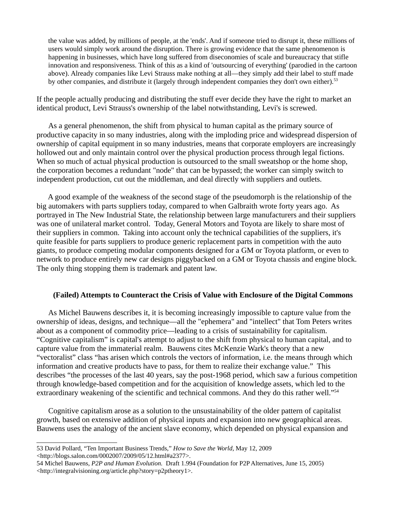the value was added, by millions of people, at the 'ends'. And if someone tried to disrupt it, these millions of users would simply work around the disruption. There is growing evidence that the same phenomenon is happening in businesses, which have long suffered from diseconomies of scale and bureaucracy that stifle innovation and responsiveness. Think of this as a kind of 'outsourcing of everything' (parodied in the cartoon above). Already companies like Levi Strauss make nothing at all—they simply add their label to stuff made by other companies, and distribute it (largely through independent companies they don't own either).<sup>[53](#page-18-0)</sup>

If the people actually producing and distributing the stuff ever decide they have the right to market an identical product, Levi Strauss's ownership of the label notwithstanding, Levi's is screwed.

As a general phenomenon, the shift from physical to human capital as the primary source of productive capacity in so many industries, along with the imploding price and widespread dispersion of ownership of capital equipment in so many industries, means that corporate employers are increasingly hollowed out and only maintain control over the physical production process through legal fictions. When so much of actual physical production is outsourced to the small sweatshop or the home shop, the corporation becomes a redundant "node" that can be bypassed; the worker can simply switch to independent production, cut out the middleman, and deal directly with suppliers and outlets.

A good example of the weakness of the second stage of the pseudomorph is the relationship of the big automakers with parts suppliers today, compared to when Galbraith wrote forty years ago. As portrayed in The New Industrial State, the relationship between large manufacturers and their suppliers was one of unilateral market control. Today, General Motors and Toyota are likely to share most of their suppliers in common. Taking into account only the technical capabilities of the suppliers, it's quite feasible for parts suppliers to produce generic replacement parts in competition with the auto giants, to produce competing modular components designed for a GM or Toyota platform, or even to network to produce entirely new car designs piggybacked on a GM or Toyota chassis and engine block. The only thing stopping them is trademark and patent law.

#### **(Failed) Attempts to Counteract the Crisis of Value with Enclosure of the Digital Commons**

As Michel Bauwens describes it, it is becoming increasingly impossible to capture value from the ownership of ideas, designs, and technique—all the "ephemera" and "intellect" that Tom Peters writes about as a component of commodity price—leading to a crisis of sustainability for capitalism. "Cognitive capitalism" is capital's attempt to adjust to the shift from physical to human capital, and to capture value from the immaterial realm. Bauwens cites McKenzie Wark's theory that a new "vectoralist" class "has arisen which controls the vectors of information, i.e. the means through which information and creative products have to pass, for them to realize their exchange value." This describes "the processes of the last 40 years, say the post-1968 period, which saw a furious competition through knowledge-based competition and for the acquisition of knowledge assets, which led to the extraordinary weakening of the scientific and technical commons. And they do this rather well."<sup>[54](#page-18-1)</sup>

Cognitive capitalism arose as a solution to the unsustainability of the older pattern of capitalist growth, based on extensive addition of physical inputs and expansion into new geographical areas. Bauwens uses the analogy of the ancient slave economy, which depended on physical expansion and

<span id="page-18-0"></span><sup>53</sup> David Pollard, "Ten Important Business Trends," *How to Save the World*, May 12, 2009 <http://blogs.salon.com/0002007/2009/05/12.html#a2377>.

<span id="page-18-1"></span><sup>54</sup> Michel Bauwens, *P2P and Human Evolution.* Draft 1.994 (Foundation for P2P Alternatives, June 15, 2005) <http://integralvisioning.org/article.php?story=p2ptheory1>.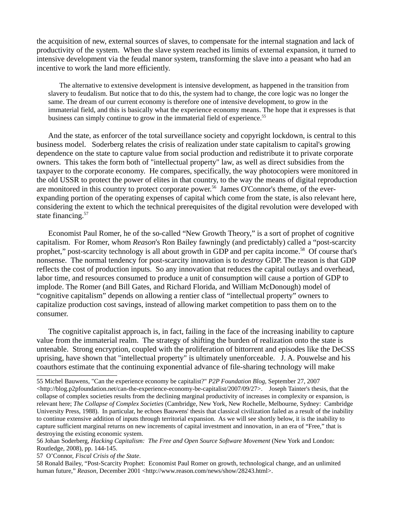the acquisition of new, external sources of slaves, to compensate for the internal stagnation and lack of productivity of the system. When the slave system reached its limits of external expansion, it turned to intensive development via the feudal manor system, transforming the slave into a peasant who had an incentive to work the land more efficiently.

The alternative to extensive development is intensive development, as happened in the transition from slavery to feudalism. But notice that to do this, the system had to change, the core logic was no longer the same. The dream of our current economy is therefore one of intensive development, to grow in the immaterial field, and this is basically what the experience economy means. The hope that it expresses is that business can simply continue to grow in the immaterial field of experience.<sup>[55](#page-19-0)</sup>

And the state, as enforcer of the total surveillance society and copyright lockdown, is central to this business model. Soderberg relates the crisis of realization under state capitalism to capital's growing dependence on the state to capture value from social production and redistribute it to private corporate owners. This takes the form both of "intellectual property" law, as well as direct subsidies from the taxpayer to the corporate economy. He compares, specifically, the way photocopiers were monitored in the old USSR to protect the power of elites in that country, to the way the means of digital reproduction are monitored in this country to protect corporate power.<sup>[56](#page-19-1)</sup> James O'Connor's theme, of the everexpanding portion of the operating expenses of capital which come from the state, is also relevant here, considering the extent to which the technical prerequisites of the digital revolution were developed with state financing.<sup>[57](#page-19-2)</sup>

Economist Paul Romer, he of the so-called "New Growth Theory," is a sort of prophet of cognitive capitalism. For Romer, whom *Reason*'s Ron Bailey fawningly (and predictably) called a "post-scarcity prophet," post-scarcity technology is all about growth in GDP and per capita income.<sup>[58](#page-19-3)</sup> Of course that's nonsense. The normal tendency for post-scarcity innovation is to *destroy* GDP. The reason is that GDP reflects the cost of production inputs. So any innovation that reduces the capital outlays and overhead, labor time, and resources consumed to produce a unit of consumption will cause a portion of GDP to implode. The Romer (and Bill Gates, and Richard Florida, and William McDonough) model of "cognitive capitalism" depends on allowing a rentier class of "intellectual property" owners to capitalize production cost savings, instead of allowing market competition to pass them on to the consumer.

The cognitive capitalist approach is, in fact, failing in the face of the increasing inability to capture value from the immaterial realm. The strategy of shifting the burden of realization onto the state is untenable. Strong encryption, coupled with the proliferation of bittorrent and episodes like the DeCSS uprising, have shown that "intellectual property" is ultimately unenforceable. J. A. Pouwelse and his coauthors estimate that the continuing exponential advance of file-sharing technology will make

<span id="page-19-0"></span><sup>55</sup> Michel Bauwens, "Can the experience economy be capitalist?" *P2P Foundation Blog*, September 27, 2007 <http://blog.p2pfoundation.net/can-the-experience-economy-be-capitalist/2007/09/27>. Joseph Tainter's thesis, that the collapse of complex societies results from the declining marginal productivity of increases in complexity or expansion, is relevant here; *The Collapse of Complex Societies* (Cambridge, New York, New Rochelle, Melbourne, Sydney: Cambridge University Press, 1988). In particular, he echoes Bauwens' thesis that classical civilization failed as a result of the inability to continue extensive addition of inputs through territorial expansion. As we will see shortly below, it is the inability to capture sufficient marginal returns on new increments of capital investment and innovation, in an era of "Free," that is destroying the existing economic system.

<span id="page-19-1"></span><sup>56</sup> Johan Soderberg, *Hacking Capitalism: The Free and Open Source Software Movement* (New York and London: Routledge, 2008), pp. 144-145.

<span id="page-19-2"></span><sup>57</sup> O'Connor, *Fiscal Crisis of the State*.

<span id="page-19-3"></span><sup>58</sup> Ronald Bailey, "Post-Scarcity Prophet: Economist Paul Romer on growth, technological change, and an unlimited human future," *Reason*, December 2001 <http://www.reason.com/news/show/28243.html>.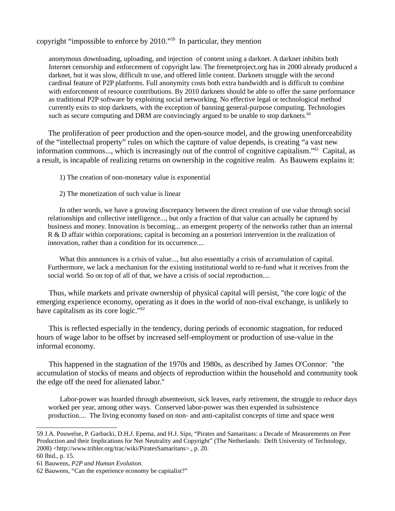# copyright "impossible to enforce by 2010."[59](#page-20-0) In particular, they mention

anonymous downloading, uploading, and injection of content using a darknet. A darknet inhibits both Internet censorship and enforcement of copyright law. The freenetproject.org has in 2000 already produced a darknet, but it was slow, difficult to use, and offered little content. Darknets struggle with the second cardinal feature of P2P platforms. Full anonymity costs both extra bandwidth and is difficult to combine with enforcement of resource contributions. By 2010 darknets should be able to offer the same performance as traditional P2P software by exploiting social networking. No effective legal or technological method currently exits to stop darknets, with the exception of banning general-purpose computing. Technologies such as secure computing and DRM are convincingly argued to be unable to stop darknets. $60$ 

The proliferation of peer production and the open-source model, and the growing unenforceability of the "intellectual property" rules on which the capture of value depends, is creating "a vast new information commons..., which is increasingly out of the control of cognitive capitalism."<sup>[61](#page-20-2)</sup> Capital, as a result, is incapable of realizing returns on ownership in the cognitive realm. As Bauwens explains it:

1) The creation of non-monetary value is exponential

2) The monetization of such value is linear

In other words, we have a growing discrepancy between the direct creation of use value through social relationships and collective intelligence..., but only a fraction of that value can actually be captured by business and money. Innovation is becoming... an emergent property of the networks rather than an internal R & D affair within corporations; capital is becoming an a posteriori intervention in the realization of innovation, rather than a condition for its occurrence....

What this announces is a crisis of value..., but also essentially a crisis of accumulation of capital. Furthermore, we lack a mechanism for the existing institutional world to re-fund what it receives from the social world. So on top of all of that, we have a crisis of social reproduction....

Thus, while markets and private ownership of physical capital will persist, "the core logic of the emerging experience economy, operating as it does in the world of non-rival exchange, is unlikely to have capitalism as its core logic."<sup>[62](#page-20-3)</sup>

This is reflected especially in the tendency, during periods of economic stagnation, for reduced hours of wage labor to be offset by increased self-employment or production of use-value in the informal economy.

This happened in the stagnation of the 1970s and 1980s, as described by James O'Connor: "the accumulation of stocks of means and objects of reproduction within the household and community took the edge off the need for alienated labor."

Labor-power was hoarded through absenteeism, sick leaves, early retirement, the struggle to reduce days worked per year, among other ways. Conserved labor-power was then expended in subsistence production.... The living economy based on non- and anti-capitalist concepts of time and space went

- <span id="page-20-1"></span>60 Ibid., p. 15.
- <span id="page-20-2"></span>61 Bauwens, *P2P and Human Evolution*.

<span id="page-20-0"></span><sup>59</sup> J.A. Pouwelse, P. Garbacki, D.H.J. Epema, and H.J. Sips, "Pirates and Samaritans: a Decade of Measurements on Peer Production and their Implications for Net Neutrality and Copyright" (The Netherlands: Delft University of Technology, 2008) <http://www.tribler.org/trac/wiki/PiratesSamaritans>., p. 20.

<span id="page-20-3"></span><sup>62</sup> Bauwens, "Can the experience economy be capitalist?"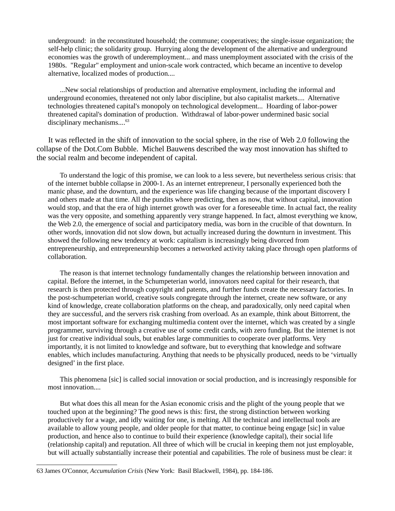underground: in the reconstituted household; the commune; cooperatives; the single-issue organization; the self-help clinic; the solidarity group. Hurrying along the development of the alternative and underground economies was the growth of underemployment... and mass unemployment associated with the crisis of the 1980s. "Regular" employment and union-scale work contracted, which became an incentive to develop alternative, localized modes of production....

...New social relationships of production and alternative employment, including the informal and underground economies, threatened not only labor discipline, but also capitalist markets.... Alternative technologies threatened capital's monopoly on technological development... Hoarding of labor-power threatened capital's domination of production. Withdrawal of labor-power undermined basic social disciplinary mechanisms....<sup>[63](#page-21-0)</sup>

It was reflected in the shift of innovation to the social sphere, in the rise of Web 2.0 following the collapse of the Dot.Com Bubble. Michel Bauwens described the way most innovation has shifted to the social realm and become independent of capital.

To understand the logic of this promise, we can look to a less severe, but nevertheless serious crisis: that of the internet bubble collapse in 2000-1. As an internet entrepreneur, I personally experienced both the manic phase, and the downturn, and the experience was life changing because of the important discovery I and others made at that time. All the pundits where predicting, then as now, that without capital, innovation would stop, and that the era of high internet growth was over for a foreseeable time. In actual fact, the reality was the very opposite, and something apparently very strange happened. In fact, almost everything we know, the Web 2.0, the emergence of social and participatory media, was born in the crucible of that downturn. In other words, innovation did not slow down, but actually increased during the downturn in investment. This showed the following new tendency at work: capitalism is increasingly being divorced from entrepreneurship, and entrepreneurship becomes a networked activity taking place through open platforms of collaboration.

The reason is that internet technology fundamentally changes the relationship between innovation and capital. Before the internet, in the Schumpeterian world, innovators need capital for their research, that research is then protected through copyright and patents, and further funds create the necessary factories. In the post-schumpeterian world, creative souls congregate through the internet, create new software, or any kind of knowledge, create collaboration platforms on the cheap, and paradoxically, only need capital when they are successful, and the servers risk crashing from overload. As an example, think about Bittorrent, the most important software for exchanging multimedia content over the internet, which was created by a single programmer, surviving through a creative use of some credit cards, with zero funding. But the internet is not just for creative individual souls, but enables large communities to cooperate over platforms. Very importantly, it is not limited to knowledge and software, but to everything that knowledge and software enables, which includes manufacturing. Anything that needs to be physically produced, needs to be 'virtually designed' in the first place.

This phenomena [sic] is called social innovation or social production, and is increasingly responsible for most innovation....

But what does this all mean for the Asian economic crisis and the plight of the young people that we touched upon at the beginning? The good news is this: first, the strong distinction between working productively for a wage, and idly waiting for one, is melting. All the technical and intellectual tools are available to allow young people, and older people for that matter, to continue being engage [sic] in value production, and hence also to continue to build their experience (knowledge capital), their social life (relationship capital) and reputation. All three of which will be crucial in keeping them not just employable, but will actually substantially increase their potential and capabilities. The role of business must be clear: it

<span id="page-21-0"></span><sup>63</sup> James O'Connor, *Accumulation Crisis* (New York: Basil Blackwell, 1984), pp. 184-186.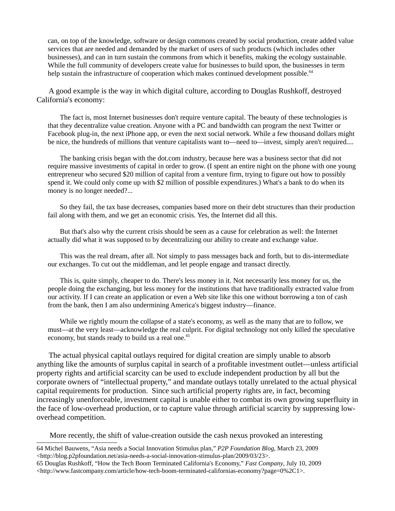can, on top of the knowledge, software or design commons created by social production, create added value services that are needed and demanded by the market of users of such products (which includes other businesses), and can in turn sustain the commons from which it benefits, making the ecology sustainable. While the full community of developers create value for businesses to build upon, the businesses in term help sustain the infrastructure of cooperation which makes continued development possible.<sup>[64](#page-22-0)</sup>

A good example is the way in which digital culture, according to Douglas Rushkoff, destroyed California's economy:

The fact is, most Internet businesses don't require venture capital. The beauty of these technologies is that they decentralize value creation. Anyone with a PC and bandwidth can program the next Twitter or Facebook plug-in, the next iPhone app, or even the next social network. While a few thousand dollars might be nice, the hundreds of millions that venture capitalists want to—need to—invest, simply aren't required....

The banking crisis began with the dot.com industry, because here was a business sector that did not require massive investments of capital in order to grow. (I spent an entire night on the phone with one young entrepreneur who secured \$20 million of capital from a venture firm, trying to figure out how to possibly spend it. We could only come up with \$2 million of possible expenditures.) What's a bank to do when its money is no longer needed?...

So they fail, the tax base decreases, companies based more on their debt structures than their production fail along with them, and we get an economic crisis. Yes, the Internet did all this.

But that's also why the current crisis should be seen as a cause for celebration as well: the Internet actually did what it was supposed to by decentralizing our ability to create and exchange value.

This was the real dream, after all. Not simply to pass messages back and forth, but to dis-intermediate our exchanges. To cut out the middleman, and let people engage and transact directly.

This is, quite simply, cheaper to do. There's less money in it. Not necessarily less money for us, the people doing the exchanging, but less money for the institutions that have traditionally extracted value from our activity. If I can create an application or even a Web site like this one without borrowing a ton of cash from the bank, then I am also undermining America's biggest industry—finance.

While we rightly mourn the collapse of a state's economy, as well as the many that are to follow, we must—at the very least—acknowledge the real culprit. For digital technology not only killed the speculative economy, but stands ready to build us a real one.<sup>[65](#page-22-1)</sup>

The actual physical capital outlays required for digital creation are simply unable to absorb anything like the amounts of surplus capital in search of a profitable investment outlet—unless artificial property rights and artificial scarcity can be used to exclude independent production by all but the corporate owners of "intellectual property," and mandate outlays totally unrelated to the actual physical capital requirements for production. Since such artificial property rights are, in fact, becoming increasingly unenforceable, investment capital is unable either to combat its own growing superfluity in the face of low-overhead production, or to capture value through artificial scarcity by suppressing lowoverhead competition.

More recently, the shift of value-creation outside the cash nexus provoked an interesting

<span id="page-22-0"></span>64 Michel Bauwens, "Asia needs a Social Innovation Stimulus plan," *P2P Foundation Blog*, March 23, 2009 <http://blog.p2pfoundation.net/asia-needs-a-social-innovation-stimulus-plan/2009/03/23>.

<span id="page-22-1"></span><sup>65</sup> Douglas Rushkoff, "How the Tech Boom Terminated California's Economy," *Fast Company*, July 10, 2009 <http://www.fastcompany.com/article/how-tech-boom-terminated-californias-economy?page=0%2C1>.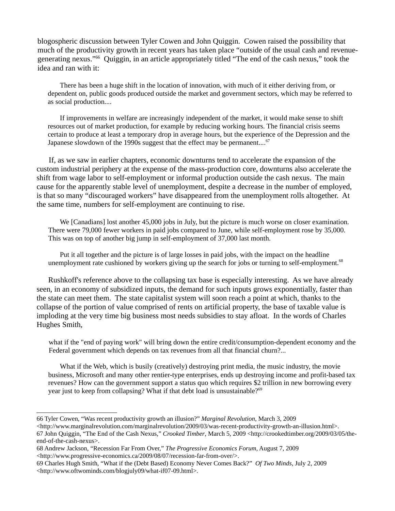blogospheric discussion between Tyler Cowen and John Quiggin. Cowen raised the possibility that much of the productivity growth in recent years has taken place "outside of the usual cash and revenuegenerating nexus."[66](#page-23-0) Quiggin, in an article appropriately titled "The end of the cash nexus," took the idea and ran with it:

There has been a huge shift in the location of innovation, with much of it either deriving from, or dependent on, public goods produced outside the market and government sectors, which may be referred to as social production....

If improvements in welfare are increasingly independent of the market, it would make sense to shift resources out of market production, for example by reducing working hours. The financial crisis seems certain to produce at least a temporary drop in average hours, but the experience of the Depression and the Japanese slowdown of the 1990s suggest that the effect may be permanent.... $^{67}$  $^{67}$  $^{67}$ 

If, as we saw in earlier chapters, economic downturns tend to accelerate the expansion of the custom industrial periphery at the expense of the mass-production core, downturns also accelerate the shift from wage labor to self-employment or informal production outside the cash nexus. The main cause for the apparently stable level of unemployment, despite a decrease in the number of employed, is that so many "discouraged workers" have disappeared from the unemployment rolls altogether. At the same time, numbers for self-employment are continuing to rise.

We [Canadians] lost another 45,000 jobs in July, but the picture is much worse on closer examination. There were 79,000 fewer workers in paid jobs compared to June, while self-employment rose by 35,000. This was on top of another big jump in self-employment of 37,000 last month.

Put it all together and the picture is of large losses in paid jobs, with the impact on the headline unemployment rate cushioned by workers giving up the search for jobs or turning to self-employment.<sup>[68](#page-23-2)</sup>

Rushkoff's reference above to the collapsing tax base is especially interesting. As we have already seen, in an economy of subsidized inputs, the demand for such inputs grows exponentially, faster than the state can meet them. The state capitalist system will soon reach a point at which, thanks to the collapse of the portion of value comprised of rents on artificial property, the base of taxable value is imploding at the very time big business most needs subsidies to stay afloat. In the words of Charles Hughes Smith,

what if the "end of paying work" will bring down the entire credit/consumption-dependent economy and the Federal government which depends on tax revenues from all that financial churn?...

What if the Web, which is busily (creatively) destroying print media, the music industry, the movie business, Microsoft and many other rentier-type enterprises, ends up destroying income and profit-based tax revenues? How can the government support a status quo which requires \$2 trillion in new borrowing every year just to keep from collapsing? What if that debt load is unsustainable?<sup>[69](#page-23-3)</sup>

- <span id="page-23-2"></span>68 Andrew Jackson, "Recession Far From Over," *The Progressive Economics Forum*, August 7, 2009
- <http://www.progressive-economics.ca/2009/08/07/recession-far-from-over/>.

<span id="page-23-0"></span><sup>66</sup> Tyler Cowen, "Was recent productivity growth an illusion?" *Marginal Revolution*, March 3, 2009

<sup>&</sup>lt;http://www.marginalrevolution.com/marginalrevolution/2009/03/was-recent-productivity-growth-an-illusion.html>.

<span id="page-23-1"></span><sup>67</sup> John Quiggin, "The End of the Cash Nexus," *Crooked Timber*, March 5, 2009 <http://crookedtimber.org/2009/03/05/theend-of-the-cash-nexus>.

<span id="page-23-3"></span><sup>69</sup> Charles Hugh Smith, "What if the (Debt Based) Economy Never Comes Back?" *Of Two Minds*, July 2, 2009 <http://www.oftwominds.com/blogjuly09/what-if07-09.html>.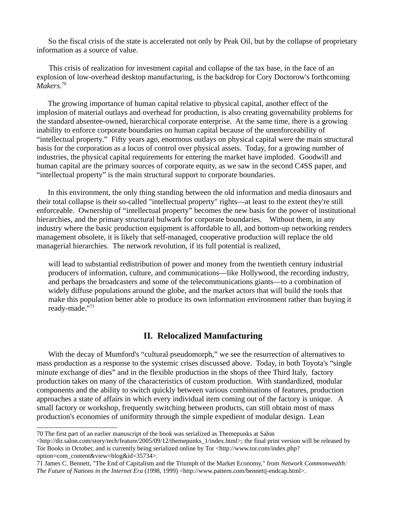So the fiscal crisis of the state is accelerated not only by Peak Oil, but by the collapse of proprietary information as a source of value.

This crisis of realization for investment capital and collapse of the tax base, in the face of an explosion of low-overhead desktop manufacturing, is the backdrop for Cory Doctorow's forthcoming *Makers*. [70](#page-24-0)

The growing importance of human capital relative to physical capital, another effect of the implosion of material outlays and overhead for production, is also creating governability problems for the standard absentee-owned, hierarchical corporate enterprise. At the same time, there is a growing inability to enforce corporate boundaries on human capital because of the unenforceability of "intellectual property." Fifty years ago, enormous outlays on physical capital were the main structural basis for the corporation as a locus of control over physical assets. Today, for a growing number of industries, the physical capital requirements for entering the market have imploded. Goodwill and human capital are the primary sources of corporate equity, as we saw in the second C4SS paper, and "intellectual property" is the main structural support to corporate boundaries.

In this environment, the only thing standing between the old information and media dinosaurs and their total collapse is their so-called "intellectual property" rights—at least to the extent they're still enforceable. Ownership of "intellectual property" becomes the new basis for the power of institutional hierarchies, and the primary structural bulwark for corporate boundaries. Without them, in any industry where the basic production equipment is affordable to all, and bottom-up networking renders management obsolete, it is likely that self-managed, cooperative production will replace the old managerial hierarchies. The network revolution, if its full potential is realized,

will lead to substantial redistribution of power and money from the twentieth century industrial producers of information, culture, and communications—like Hollywood, the recording industry, and perhaps the broadcasters and some of the telecommunications giants—to a combination of widely diffuse populations around the globe, and the market actors that will build the tools that make this population better able to produce its own information environment rather than buying it ready-made."<sup>[71](#page-24-1)</sup>

# **II. Relocalized Manufacturing**

With the decay of Mumford's "cultural pseudomorph," we see the resurrection of alternatives to mass production as a response to the systemic crises discussed above. Today, in both Toyota's "single minute exchange of dies" and in the flexible production in the shops of thee Third Italy, factory production takes on many of the characteristics of custom production. With standardized, modular components and the ability to switch quickly between various combinations of features, production approaches a state of affairs in which every individual item coming out of the factory is unique. A small factory or workshop, frequently switching between products, can still obtain most of mass production's economies of uniformity through the simple expedient of modular design. Lean

<span id="page-24-0"></span><sup>70</sup> The first part of an earlier manuscript of the book was serialized as Themepunks at Salon

<sup>&</sup>lt;http://dir.salon.com/story/tech/feature/2005/09/12/themepunks\_1/index.html>; the final print version will be released by Tor Books in October, and is currently being serialized online by Tor <http://www.tor.com/index.php? option=com\_content&view=blog&id=35734>.

<span id="page-24-1"></span><sup>71</sup> James C. Bennett, "The End of Capitalism and the Triumph of the Market Economy," from *Network Commonwealth: The Future of Nations in the Internet Era* (1998, 1999) <http://www.pattern.com/bennettj-endcap.html>.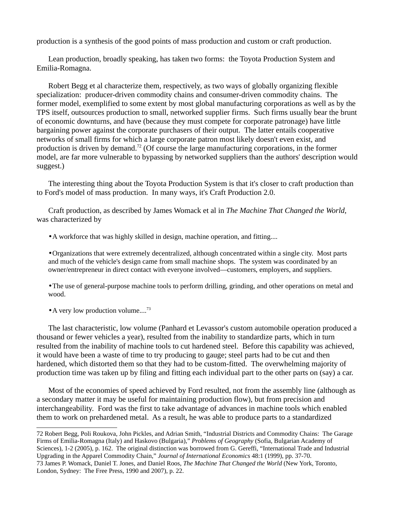production is a synthesis of the good points of mass production and custom or craft production.

Lean production, broadly speaking, has taken two forms: the Toyota Production System and Emilia-Romagna.

Robert Begg et al characterize them, respectively, as two ways of globally organizing flexible specialization: producer-driven commodity chains and consumer-driven commodity chains. The former model, exemplified to some extent by most global manufacturing corporations as well as by the TPS itself, outsources production to small, networked supplier firms. Such firms usually bear the brunt of economic downturns, and have (because they must compete for corporate patronage) have little bargaining power against the corporate purchasers of their output. The latter entails cooperative networks of small firms for which a large corporate patron most likely doesn't even exist, and production is driven by demand.<sup>[72](#page-25-0)</sup> (Of course the large manufacturing corporations, in the former model, are far more vulnerable to bypassing by networked suppliers than the authors' description would suggest.)

The interesting thing about the Toyota Production System is that it's closer to craft production than to Ford's model of mass production. In many ways, it's Craft Production 2.0.

Craft production, as described by James Womack et al in *The Machine That Changed the World,* was characterized by

•A workforce that was highly skilled in design, machine operation, and fitting....

•Organizations that were extremely decentralized, although concentrated within a single city. Most parts and much of the vehicle's design came from small machine shops. The system was coordinated by an owner/entrepreneur in direct contact with everyone involved—customers, employers, and suppliers.

•The use of general-purpose machine tools to perform drilling, grinding, and other operations on metal and wood.

• A very low production volume....<sup>[73](#page-25-1)</sup>

The last characteristic, low volume (Panhard et Levassor's custom automobile operation produced a thousand or fewer vehicles a year), resulted from the inability to standardize parts, which in turn resulted from the inability of machine tools to cut hardened steel. Before this capability was achieved, it would have been a waste of time to try producing to gauge; steel parts had to be cut and then hardened, which distorted them so that they had to be custom-fitted. The overwhelming majority of production time was taken up by filing and fitting each individual part to the other parts on (say) a car.

Most of the economies of speed achieved by Ford resulted, not from the assembly line (although as a secondary matter it may be useful for maintaining production flow), but from precision and interchangeability. Ford was the first to take advantage of advances in machine tools which enabled them to work on prehardened metal. As a result, he was able to produce parts to a standardized

<span id="page-25-1"></span><span id="page-25-0"></span><sup>72</sup> Robert Begg, Poli Roukova, John Pickles, and Adrian Smith, "Industrial Districts and Commodity Chains: The Garage Firms of Emilia-Romagna (Italy) and Haskovo (Bulgaria)," *Problems of Geography* (Sofia, Bulgarian Academy of Sciences), 1-2 (2005), p. 162. The original distinction was borrowed from G. Gereffi, "International Trade and Industrial Upgrading in the Apparel Commodity Chain," *Journal of International Economics* 48:1 (1999), pp. 37-70. 73 James P. Womack, Daniel T. Jones, and Daniel Roos, *The Machine That Changed the World* (New York, Toronto, London, Sydney: The Free Press, 1990 and 2007), p. 22.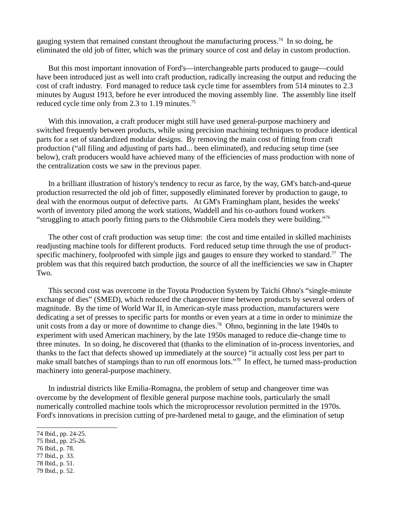gauging system that remained constant throughout the manufacturing process.<sup>[74](#page-26-0)</sup> In so doing, he eliminated the old job of fitter, which was the primary source of cost and delay in custom production.

But this most important innovation of Ford's—interchangeable parts produced to gauge—could have been introduced just as well into craft production, radically increasing the output and reducing the cost of craft industry. Ford managed to reduce task cycle time for assemblers from 514 minutes to 2.3 minutes by August 1913, before he ever introduced the moving assembly line. The assembly line itself reduced cycle time only from 2.3 to 1.19 minutes.<sup>[75](#page-26-1)</sup>

With this innovation, a craft producer might still have used general-purpose machinery and switched frequently between products, while using precision machining techniques to produce identical parts for a set of standardized modular designs. By removing the main cost of fitting from craft production ("all filing and adjusting of parts had... been eliminated), and reducing setup time (see below), craft producers would have achieved many of the efficiencies of mass production with none of the centralization costs we saw in the previous paper.

In a brilliant illustration of history's tendency to recur as farce, by the way, GM's batch-and-queue production resurrected the old job of fitter, supposedly eliminated forever by production to gauge, to deal with the enormous output of defective parts. At GM's Framingham plant, besides the weeks' worth of inventory piled among the work stations, Waddell and his co-authors found workers "struggling to attach poorly fitting parts to the Oldsmobile Ciera models they were building."<sup>[76](#page-26-2)</sup>

The other cost of craft production was setup time: the cost and time entailed in skilled machinists readjusting machine tools for different products. Ford reduced setup time through the use of product-specific machinery, foolproofed with simple jigs and gauges to ensure they worked to standard.<sup>[77](#page-26-3)</sup> The problem was that this required batch production, the source of all the inefficiencies we saw in Chapter Two.

This second cost was overcome in the Toyota Production System by Taichi Ohno's "single-minute exchange of dies" (SMED), which reduced the changeover time between products by several orders of magnitude. By the time of World War II, in American-style mass production, manufacturers were dedicating a set of presses to specific parts for months or even years at a time in order to minimize the unit costs from a day or more of downtime to change dies.<sup>[78](#page-26-4)</sup> Ohno, beginning in the late 1940s to experiment with used American machinery, by the late 1950s managed to reduce die-change time to three minutes. In so doing, he discovered that (thanks to the elimination of in-process inventories, and thanks to the fact that defects showed up immediately at the source) "it actually cost less per part to make small batches of stampings than to run off enormous lots."<sup>[79](#page-26-5)</sup> In effect, he turned mass-production machinery into general-purpose machinery.

In industrial districts like Emilia-Romagna, the problem of setup and changeover time was overcome by the development of flexible general purpose machine tools, particularly the small numerically controlled machine tools which the microprocessor revolution permitted in the 1970s. Ford's innovations in precision cutting of pre-hardened metal to gauge, and the elimination of setup

- <span id="page-26-2"></span>76 Ibid., p. 78.
- <span id="page-26-3"></span>77 Ibid., p. 33.
- <span id="page-26-4"></span>78 Ibid., p. 51.
- <span id="page-26-5"></span>79 Ibid., p. 52.

<span id="page-26-0"></span><sup>74</sup> Ibid., pp. 24-25.

<span id="page-26-1"></span><sup>75</sup> Ibid., pp. 25-26.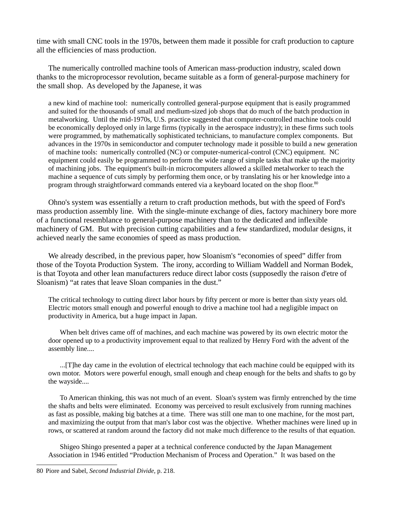time with small CNC tools in the 1970s, between them made it possible for craft production to capture all the efficiencies of mass production.

The numerically controlled machine tools of American mass-production industry, scaled down thanks to the microprocessor revolution, became suitable as a form of general-purpose machinery for the small shop. As developed by the Japanese, it was

a new kind of machine tool: numerically controlled general-purpose equipment that is easily programmed and suited for the thousands of small and medium-sized job shops that do much of the batch production in metalworking. Until the mid-1970s, U.S. practice suggested that computer-controlled machine tools could be economically deployed only in large firms (typically in the aerospace industry); in these firms such tools were programmed, by mathematically sophisticated technicians, to manufacture complex components. But advances in the 1970s in semiconductor and computer technology made it possible to build a new generation of machine tools: numerically controlled (NC) or computer-numerical-control (CNC) equipment. NC equipment could easily be programmed to perform the wide range of simple tasks that make up the majority of machining jobs. The equipment's built-in microcomputers allowed a skilled metalworker to teach the machine a sequence of cuts simply by performing them once, or by translating his or her knowledge into a program through straightforward commands entered via a keyboard located on the shop floor.<sup>[80](#page-27-0)</sup>

Ohno's system was essentially a return to craft production methods, but with the speed of Ford's mass production assembly line. With the single-minute exchange of dies, factory machinery bore more of a functional resemblance to general-purpose machinery than to the dedicated and inflexible machinery of GM. But with precision cutting capabilities and a few standardized, modular designs, it achieved nearly the same economies of speed as mass production.

We already described, in the previous paper, how Sloanism's "economies of speed" differ from those of the Toyota Production System. The irony, according to William Waddell and Norman Bodek, is that Toyota and other lean manufacturers reduce direct labor costs (supposedly the raison d'etre of Sloanism) "at rates that leave Sloan companies in the dust."

The critical technology to cutting direct labor hours by fifty percent or more is better than sixty years old. Electric motors small enough and powerful enough to drive a machine tool had a negligible impact on productivity in America, but a huge impact in Japan.

When belt drives came off of machines, and each machine was powered by its own electric motor the door opened up to a productivity improvement equal to that realized by Henry Ford with the advent of the assembly line....

...[T]he day came in the evolution of electrical technology that each machine could be equipped with its own motor. Motors were powerful enough, small enough and cheap enough for the belts and shafts to go by the wayside....

To American thinking, this was not much of an event. Sloan's system was firmly entrenched by the time the shafts and belts were eliminated. Economy was perceived to result exclusively from running machines as fast as possible, making big batches at a time. There was still one man to one machine, for the most part, and maximizing the output from that man's labor cost was the objective. Whether machines were lined up in rows, or scattered at random around the factory did not make much difference to the results of that equation.

Shigeo Shingo presented a paper at a technical conference conducted by the Japan Management Association in 1946 entitled "Production Mechanism of Process and Operation." It was based on the

<span id="page-27-0"></span><sup>80</sup> Piore and Sabel, *Second Industrial Divide*, p. 218.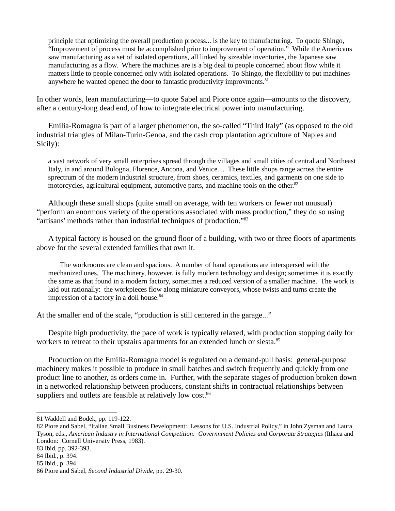principle that optimizing the overall production process... is the key to manufacturing. To quote Shingo, "Improvement of process must be accomplished prior to improvement of operation." While the Americans saw manufacturing as a set of isolated operations, all linked by sizeable inventories, the Japanese saw manufacturing as a flow. Where the machines are is a big deal to people concerned about flow while it matters little to people concerned only with isolated operations. To Shingo, the flexibility to put machines anywhere he wanted opened the door to fantastic productivity improvments. $81$ 

In other words, lean manufacturing—to quote Sabel and Piore once again—amounts to the discovery, after a century-long dead end, of how to integrate electrical power into manufacturing.

Emilia-Romagna is part of a larger phenomenon, the so-called "Third Italy" (as opposed to the old industrial triangles of Milan-Turin-Genoa, and the cash crop plantation agriculture of Naples and Sicily):

a vast network of very small enterprises spread through the villages and small cities of central and Northeast Italy, in and around Bologna, Florence, Ancona, and Venice.... These little shops range across the entire sprectrum of the modern industrial structure, from shoes, ceramics, textiles, and garments on one side to motorcycles, agricultural equipment, automotive parts, and machine tools on the other.<sup>[82](#page-28-1)</sup>

Although these small shops (quite small on average, with ten workers or fewer not unusual) "perform an enormous variety of the operations associated with mass production," they do so using "artisans' methods rather than industrial techniques of production."[83](#page-28-2)

A typical factory is housed on the ground floor of a building, with two or three floors of apartments above for the several extended families that own it.

The workrooms are clean and spacious. A number of hand operations are interspersed with the mechanized ones. The machinery, however, is fully modern technology and design; sometimes it is exactly the same as that found in a modern factory, sometimes a reduced version of a smaller machine. The work is laid out rationally: the workpieces flow along miniature conveyors, whose twists and turns create the impression of a factory in a doll house.<sup>[84](#page-28-3)</sup>

At the smaller end of the scale, "production is still centered in the garage..."

Despite high productivity, the pace of work is typically relaxed, with production stopping daily for workers to retreat to their upstairs apartments for an extended lunch or siesta.<sup>[85](#page-28-4)</sup>

Production on the Emilia-Romagna model is regulated on a demand-pull basis: general-purpose machinery makes it possible to produce in small batches and switch frequently and quickly from one product line to another, as orders come in. Further, with the separate stages of production broken down in a networked relationship between producers, constant shifts in contractual relationships between suppliers and outlets are feasible at relatively low cost. $86$ 

<span id="page-28-2"></span>83 Ibid, pp. 392-393.

<span id="page-28-4"></span>85 Ibid., p. 394.

<span id="page-28-0"></span><sup>81</sup> Waddell and Bodek, pp. 119-122.

<span id="page-28-1"></span><sup>82</sup> Piore and Sabel, "Italian Small Business Development: Lessons for U.S. Industrial Policy," in John Zysman and Laura Tyson, eds., *American Industry in International Competition: Governnment Policies and Corporate Strategies* (Ithaca and London: Cornell University Press, 1983).

<span id="page-28-3"></span><sup>84</sup> Ibid., p. 394.

<span id="page-28-5"></span><sup>86</sup> Piore and Sabel, *Second Industrial Divide*, pp. 29-30.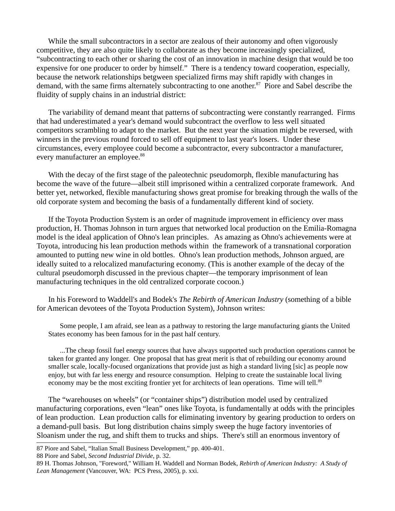While the small subcontractors in a sector are zealous of their autonomy and often vigorously competitive, they are also quite likely to collaborate as they become increasingly specialized, "subcontracting to each other or sharing the cost of an innovation in machine design that would be too expensive for one producer to order by himself." There is a tendency toward cooperation, especially, because the network relationships betgween specialized firms may shift rapidly with changes in demand, with the same firms alternately subcontracting to one another.<sup>[87](#page-29-0)</sup> Piore and Sabel describe the fluidity of supply chains in an industrial district:

The variability of demand meant that patterns of subcontracting were constantly rearranged. Firms that had underestimated a year's demand would subcontract the overflow to less well situated competitors scrambling to adapt to the market. But the next year the situation might be reversed, with winners in the previous round forced to sell off equipment to last year's losers. Under these circumstances, every employee could become a subcontractor, every subcontractor a manufacturer, every manufacturer an employee.<sup>[88](#page-29-1)</sup>

With the decay of the first stage of the paleotechnic pseudomorph, flexible manufacturing has become the wave of the future—albeit still imprisoned within a centralized corporate framework. And better yet, networked, flexible manufacturing shows great promise for breaking through the walls of the old corporate system and becoming the basis of a fundamentally different kind of society.

If the Toyota Production System is an order of magnitude improvement in efficiency over mass production, H. Thomas Johnson in turn argues that networked local production on the Emilia-Romagna model is the ideal application of Ohno's lean principles. As amazing as Ohno's achievements were at Toyota, introducing his lean production methods within the framework of a transnational corporation amounted to putting new wine in old bottles. Ohno's lean production methods, Johnson argued, are ideally suited to a relocalized manufacturing economy. (This is another example of the decay of the cultural pseudomorph discussed in the previous chapter—the temporary imprisonment of lean manufacturing techniques in the old centralized corporate cocoon.)

In his Foreword to Waddell's and Bodek's *The Rebirth of American Industry* (something of a bible for American devotees of the Toyota Production System), Johnson writes:

Some people, I am afraid, see lean as a pathway to restoring the large manufacturing giants the United States economy has been famous for in the past half century.

...The cheap fossil fuel energy sources that have always supported such production operations cannot be taken for granted any longer. One proposal that has great merit is that of rebuilding our economy around smaller scale, locally-focused organizations that provide just as high a standard living [sic] as people now enjoy, but with far less energy and resource consumption. Helping to create the sustainable local living economy may be the most exciting frontier yet for architects of lean operations. Time will tell.<sup>[89](#page-29-2)</sup>

The "warehouses on wheels" (or "container ships") distribution model used by centralized manufacturing corporations, even "lean" ones like Toyota, is fundamentally at odds with the principles of lean production. Lean production calls for eliminating inventory by gearing production to orders on a demand-pull basis. But long distribution chains simply sweep the huge factory inventories of Sloanism under the rug, and shift them to trucks and ships. There's still an enormous inventory of

<span id="page-29-0"></span><sup>87</sup> Piore and Sabel, "Italian Small Business Development," pp. 400-401.

<span id="page-29-1"></span><sup>88</sup> Piore and Sabel, *Second Industrial Divide*, p. 32.

<span id="page-29-2"></span><sup>89</sup> H. Thomas Johnson, "Foreword," William H. Waddell and Norman Bodek, *Rebirth of American Industry: A Study of Lean Management* (Vancouver, WA: PCS Press, 2005), p. xxi.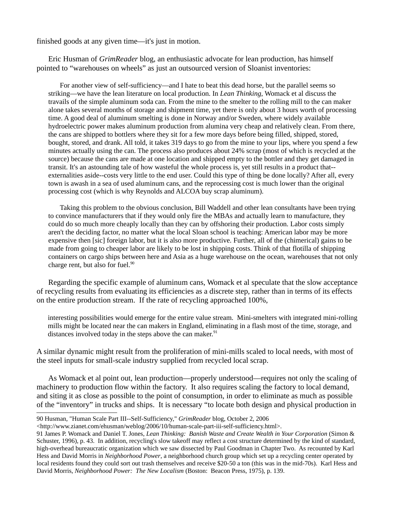finished goods at any given time—it's just in motion.

Eric Husman of *GrimReader* blog, an enthusiastic advocate for lean production, has himself pointed to "warehouses on wheels" as just an outsourced version of Sloanist inventories:

For another view of self-sufficiency—and I hate to beat this dead horse, but the parallel seems so striking—we have the lean literature on local production. In *Lean Thinking*, Womack et al discuss the travails of the simple aluminum soda can. From the mine to the smelter to the rolling mill to the can maker alone takes several months of storage and shipment time, yet there is only about 3 hours worth of processing time. A good deal of aluminum smelting is done in Norway and/or Sweden, where widely available hydroelectric power makes aluminum production from alumina very cheap and relatively clean. From there, the cans are shipped to bottlers where they sit for a few more days before being filled, shipped, stored, bought, stored, and drank. All told, it takes 319 days to go from the mine to your lips, where you spend a few minutes actually using the can. The process also produces about 24% scrap (most of which is recycled at the source) because the cans are made at one location and shipped empty to the bottler and they get damaged in transit. It's an astounding tale of how wasteful the whole process is, yet still results in a product that- externalities aside--costs very little to the end user. Could this type of thing be done locally? After all, every town is awash in a sea of used aluminum cans, and the reprocessing cost is much lower than the original processing cost (which is why Reynolds and ALCOA buy scrap aluminum).

Taking this problem to the obvious conclusion, Bill Waddell and other lean consultants have been trying to convince manufacturers that if they would only fire the MBAs and actually learn to manufacture, they could do so much more cheaply locally than they can by offshoring their production. Labor costs simply aren't the deciding factor, no matter what the local Sloan school is teaching: American labor may be more expensive then [sic] foreign labor, but it is also more productive. Further, all of the (chimerical) gains to be made from going to cheaper labor are likely to be lost in shipping costs. Think of that flotilla of shipping containers on cargo ships between here and Asia as a huge warehouse on the ocean, warehouses that not only charge rent, but also for fuel. $90$ 

Regarding the specific example of aluminum cans, Womack et al speculate that the slow acceptance of recycling results from evaluating its efficiencies as a discrete step, rather than in terms of its effects on the entire production stream. If the rate of recycling approached 100%,

interesting possibilities would emerge for the entire value stream. Mini-smelters with integrated mini-rolling mills might be located near the can makers in England, eliminating in a flash most of the time, storage, and distances involved today in the steps above the can maker. $91$ 

A similar dynamic might result from the proliferation of mini-mills scaled to local needs, with most of the steel inputs for small-scale industry supplied from recycled local scrap.

As Womack et al point out, lean production—properly understood—requires not only the scaling of machinery to production flow within the factory. It also requires scaling the factory to local demand, and siting it as close as possible to the point of consumption, in order to eliminate as much as possible of the "inventory" in trucks and ships. It is necessary "to locate both design and physical production in

<span id="page-30-0"></span><sup>90</sup> Husman, "Human Scale Part III--Self-Sufficiency," *GrimReader* blog, October 2, 2006

<sup>&</sup>lt;http://www.zianet.com/ehusman/weblog/2006/10/human-scale-part-iii-self-sufficiency.html>.

<span id="page-30-1"></span><sup>91</sup> James P. Womack and Daniel T. Jones, *Lean Thinking: Banish Waste and Create Wealth in Your Corporation* (Simon & Schuster, 1996), p. 43. In addition, recycling's slow takeoff may reflect a cost structure determined by the kind of standard, high-overhead bureaucratic organization which we saw dissected by Paul Goodman in Chapter Two. As recounted by Karl Hess and David Morris in *Neighborhood Power*, a neighborhood church group which set up a recycling center operated by local residents found they could sort out trash themselves and receive \$20-50 a ton (this was in the mid-70s). Karl Hess and David Morris, *Neighborhood Power: The New Localism* (Boston: Beacon Press, 1975), p. 139.